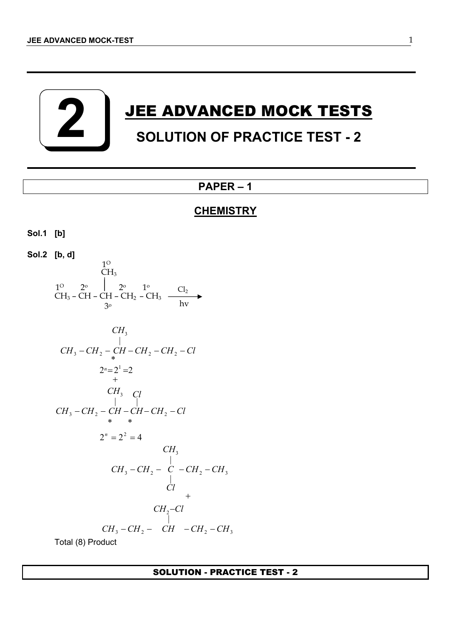**2**

# **JEE ADVANCED MOCK TESTS SOLUTION OF PRACTICE TEST - 2**

## **PAPER – 1**

## **CHEMISTRY**

```
Sol.1 [b]
```
**Sol.2 [b, d]**  $CH_3$  – CH – CH – CH<sub>2</sub> – CH<sub>3</sub>  $1^{\circ}$   $2^{\circ}$   $1^{\circ}$   $1^{\circ}$   $Cl_2$  $CH<sub>3</sub>$ 1 O  $3^{\circ}$  hv o

CH<sub>3</sub>  
\nCH<sub>2</sub> - CH<sub>2</sub> - CH - CH<sub>2</sub> - CH<sub>2</sub> - Cl  
\n
$$
2^n = 2^1 = 2
$$
  
\nCH<sub>3</sub> Cl  
\nCH<sub>3</sub> - CH<sub>2</sub> - CH - CH - CH<sub>2</sub> - Cl  
\n
$$
* * *\n2^n = 2^2 = 4
$$
\nCH<sub>3</sub>  
\nCH<sub>3</sub> - CH<sub>2</sub> - C - CH<sub>2</sub> - CH<sub>3</sub>  
\nCl<sub>1</sub>  
\nCH<sub>3</sub> - CH<sub>2</sub> - C - CH<sub>2</sub> - CH<sub>3</sub>  
\nCl<sub>+</sub>  
\nCH<sub>3</sub> - CH<sub>2</sub> - Cl  
\nCH<sub>3</sub> - CH<sub>2</sub> - CH - CH<sub>2</sub> - CH<sub>3</sub>  
\nTotal (8) Product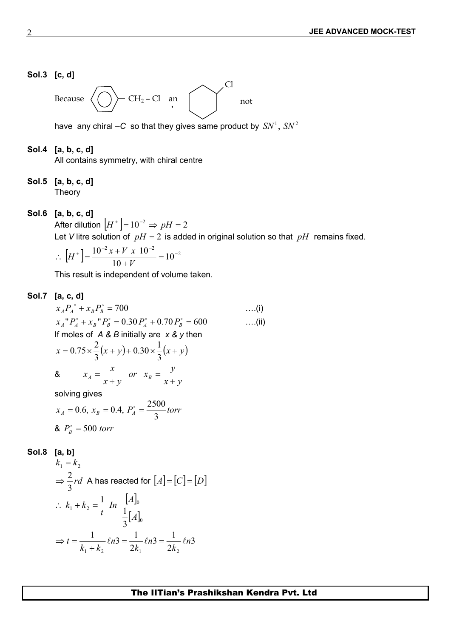## **Sol.3 [c, d]**

Because  $\langle \langle \rangle \rangle$  CH<sub>2</sub> – Cl an d Cl not

have any chiral  $-C$  so that they gives same product by  $SN<sup>1</sup>$ ,  $SN<sup>2</sup>$ 

#### **Sol.4 [a, b, c, d]**

All contains symmetry, with chiral centre

## **Sol.5 [a, b, c, d]**  Theory

## **Sol.6 [a, b, c, d]**

After dilution  $|H^+| = 10^{-2} \Rightarrow pH = 2$ Let *V* litre solution of  $pH = 2$  is added in original solution so that  $pH$  remains fixed.

$$
\therefore \left[ H^+ \right] = \frac{10^{-2} x + V \cdot x \cdot 10^{-2}}{10 + V} = 10^{-2}
$$

This result is independent of volume taken.

## **Sol.7 [a, c, d]**

$$
x_A P_A^{\circ} + x_B P_B^{\circ} = 700
$$
 ....(i)  
\n
$$
x_A^{\circ} P_A^{\circ} + x_B^{\circ} P_B^{\circ} = 0.30 P_A^{\circ} + 0.70 P_B^{\circ} = 600
$$
 ....(ii)  
\nIf moles of *A* & B initially are *x* & y then  
\n
$$
x = 0.75 \times \frac{2}{3} (x + y) + 0.30 \times \frac{1}{3} (x + y)
$$
\n8. 
$$
x_A = \frac{x}{x + y}
$$
 or 
$$
x_B = \frac{y}{x + y}
$$
  
\nsolving gives  
\n
$$
x_A = 0.6, x_B = 0.4, P_A^{\circ} = \frac{2500}{3} \text{ torr}
$$

**8.** 
$$
P_B^{\circ} = 500
$$
 torr

$$
Sol.8 [a, b]
$$

$$
k_1 = k_2
$$
  
\n⇒  $\frac{2}{3}rd$  A has reacted for  $[A] = [C] = [D]$   
\n∴  $k_1 + k_2 = \frac{1}{t} \text{ In } \frac{[A]_0}{\frac{1}{3}[A]_0}$   
\n⇒  $t = \frac{1}{k_1 + k_2} \ln 3 = \frac{1}{2k_1} \ln 3 = \frac{1}{2k_2} \ln 3$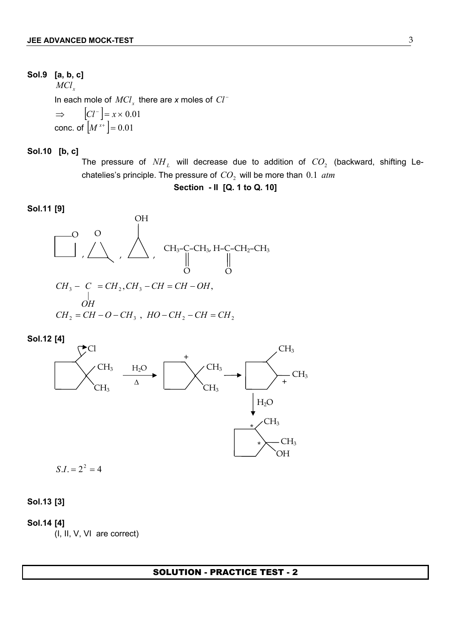## **Sol.9 [a, b, c]**

 ${MCl}_x$ In each mole of  $MCl_x$  there are *x* moles of  $Cl^-\$  $\Rightarrow$   $|CI^{-}| = x \times 0.01$ conc. of  $|M^{x+}| = 0.01$ 

**Sol.10 [b, c]**

The pressure of  $NH_L$  will decrease due to addition of  $CO_2$  (backward, shifting Lechatelies's principle. The pressure of  $CO<sub>2</sub>$  will be more than 0.1 *atm* 

**Section - II [Q. 1 to Q. 10]**

#### **Sol.11 [9]**





 $S.I. = 2<sup>2</sup> = 4$ 

**Sol.13 [3]**

**Sol.14 [4]** (I, II, V, VI are correct)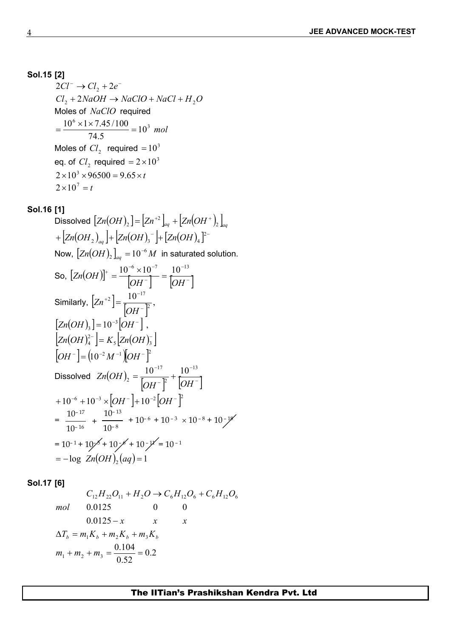## **Sol.15 [2]**

 $2Cl^{-} \rightarrow Cl_{2} + 2e^{-}$  $Cl_2 + 2NaOH \rightarrow NaClO + NaCl + H_2O$ Moles of *NaClO* required  $\frac{6 \times 1 \times 7.45/100}{2 \times 10^{3}} = 10^{3}$  mol  $10^3$  mol 74.5  $=\frac{10^6 \times 1 \times 7.45/100}{7.45/100} = 10^3$  mol Moles of  $Cl_2$  required  $= 10^3$ eq. of  $Cl_2$  required  $= 2 \times 10^3$  $2 \times 10^3 \times 96500 = 9.65 \times t$  $2 \times 10^7 = t$ 

## **Sol.16 [1]**

Discolved 
$$
[Zn(OH)_2] = [Zn^{+2}]_{\omega_q} + [Zn(OH^+)_2]_{\omega_q}
$$
  
\n+  $[Zn(OH)_2]_{\omega_q}] + [Zn(OH)_3^-] + [Zn(OH)_4]^2$   
\nNow,  $[Zn(OH)_2]_{\omega_q} = 10^{-6} M$  in saturated solution.  
\nSo,  $[Zn(OH)]^+ = \frac{10^{-6} \times 10^{-7}}{[OH^-]} = \frac{10^{-13}}{[OH^-]}$   
\nSimilarly,  $[Zn^{+2}] = \frac{10^{-17}}{[OH^-]^2}$ ,  
\n $[Zn(OH)_3] = 10^{-3}[OH^-]$ ,  
\n $[Zn(OH)_4^2] = K_5 [Zn(OH)_5^-]$   
\n $[OH^-] = (10^{-2} M^{-1})[OH^-]^2$   
\nDissolved  $Zn(OH)_2 = \frac{10^{-17}}{[OH^-]^2} + \frac{10^{-13}}{[OH^-]}$   
\n+10<sup>-6</sup> +10<sup>-3</sup> × [OH^-] +10<sup>-2</sup>[OH^-]<sup>2</sup>  
\n=  $\frac{10^{-17}}{10^{-16}} + \frac{10^{-13}}{10^{-8}} + 10^{-6} + 10^{-3} \times 10^{-8} + 10^{-19}$   
\n= 10<sup>-1</sup> + 10<sup>-6</sup> +10<sup>-7</sup> + 10<sup>-7</sup> = 10<sup>-1</sup>  
\n= -log  $Zn(OH)_2(aq) = 1$ 

**Sol.17 [6]**

$$
C_{12}H_{22}O_{11} + H_2O \to C_6H_{12}O_6 + C_6H_{12}O_6
$$
  
mol 0.0125 0 0  
0.0125 - x x x  

$$
\Delta T_b = m_1K_b + m_2K_b + m_3K_b
$$

$$
m_1 + m_2 + m_3 = \frac{0.104}{0.52} = 0.2
$$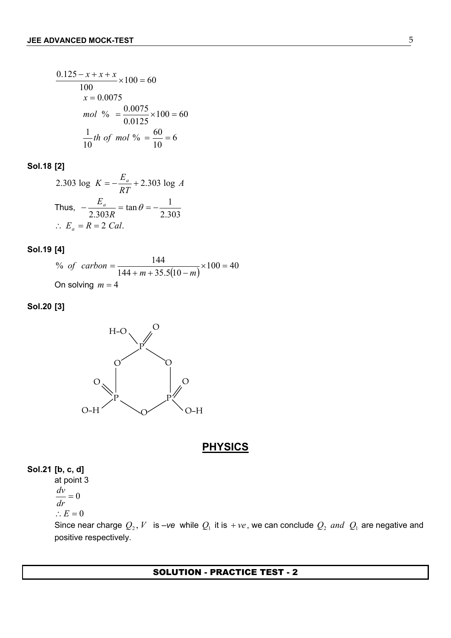$$
\frac{0.125 - x + x + x}{100} \times 100 = 60
$$
  
x = 0.0075  
mol % =  $\frac{0.0075}{0.0125} \times 100 = 60$   
 $\frac{1}{10}$ th of mol % =  $\frac{60}{10} = 6$ 

## **Sol.18 [2]**

2.303 log 
$$
K = -\frac{E_a}{RT} + 2.303 \log A
$$
  
Thus,  $-\frac{E_a}{2.303R} = \tan \theta = -\frac{1}{2.303}$   
 $\therefore E_a = R = 2$  Cal.

#### **Sol.19 [4]**

 $\frac{144}{144 + m + 35.5(10-m)} \times 100 = 40$ % of carbon =  $\frac{144}{(1.6 \times 100)} \times 100 = 40$ of  $carbon = \frac{144}{144 + m + 35.5(10 - m)} \times 100 = 40$ On solving  $m = 4$ 

## **Sol.20 [3]**



## **PHYSICS**

## **Sol.21 [b, c, d]**

at point 3  $=0$ *dr dv*

$$
\therefore E = 0
$$

Since near charge  $Q_2$ , *V* is  $-ve$  while  $Q_1$  it is  $+ve$ , we can conclude  $Q_2$  *and*  $Q_1$  are negative and positive respectively.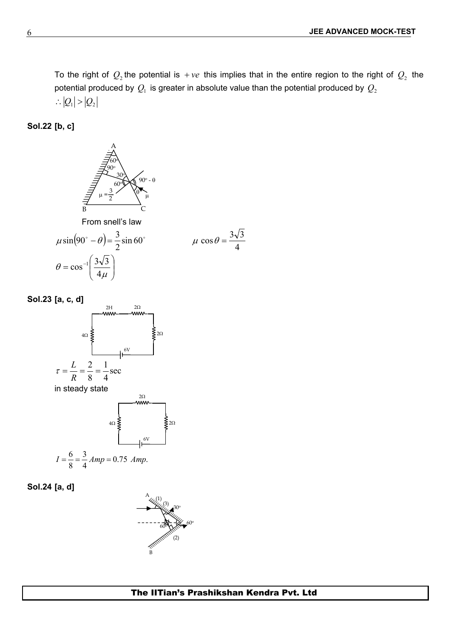To the right of  $Q_2$  the potential is  $+ve$  this implies that in the entire region to the right of  $Q_2$  the potential produced by  $Q_1$  is greater in absolute value than the potential produced by  $Q_2$  $\therefore$   $|Q_1|$  >  $|Q_2|$ 

**Sol.22 [b, c]**



$$
\mu \sin(90^\circ - \theta) = \frac{3}{2} \sin 60^\circ
$$
\n
$$
\mu \cos \theta = \frac{3\sqrt{3}}{4}
$$
\n
$$
\theta = \cos^{-1}\left(\frac{3\sqrt{3}}{4\mu}\right)
$$

**Sol.23 [a, c, d]**



in steady state



**Sol.24 [a, d]**

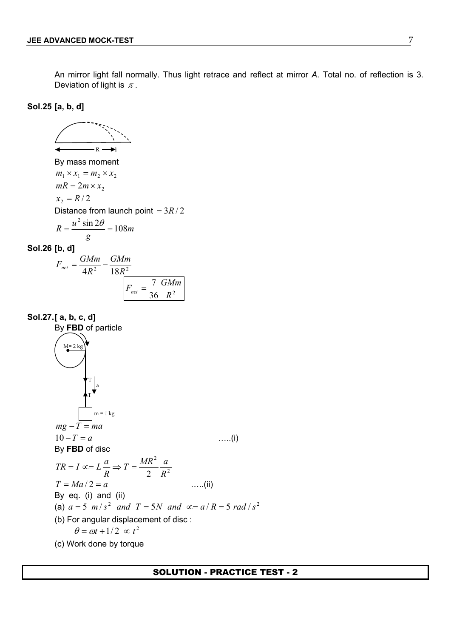An mirror light fall normally. Thus light retrace and reflect at mirror *A*. Total no. of reflection is 3. Deviation of light is  $\pi$ .

**Sol.25 [a, b, d]**

By mass moment  
\n
$$
m_1 \times x_1 = m_2 \times x_2
$$
  
\n $mR = 2m \times x_2$   
\n $x_2 = R/2$   
\nDistance from launch point =  $3R/2$   
\n $R = \frac{u^2 \sin 2\theta}{g} = 108m$   
\n**Sol.26 [b, d]**  
\n $F_{net} = \frac{GMm}{4R^2} - \frac{GMm}{18R^2}$   
\n $F_{net} = \frac{7}{36} \frac{GMm}{R^2}$ 

**Sol.27.[ a, b, c, d]** By **FBD** of particle M= 2 kg  $m = 1$  kg a T T  $mg - T = ma$  $10 - T = a$  …..(i) By **FBD** of disc 2 2  $\sim$ 2  $R^2$  $T = \frac{MR^2}{2} \frac{a}{R^2}$  $R$  2  $R^2$  $TR = I \propto L \frac{a}{R} \Rightarrow T = \frac{MR^2}{R} \frac{a}{R^2}$  $T = Ma/2 = a$  …..(ii) By eq. (i) and (ii) (a)  $a = 5$  *m*/ $s^2$  *and*  $T = 5N$  *and*  $\infty = a/R = 5$  *rad*/ $s^2$ (b) For angular displacement of disc :  $\theta = \omega t + 1/2 \propto t^2$ (c) Work done by torque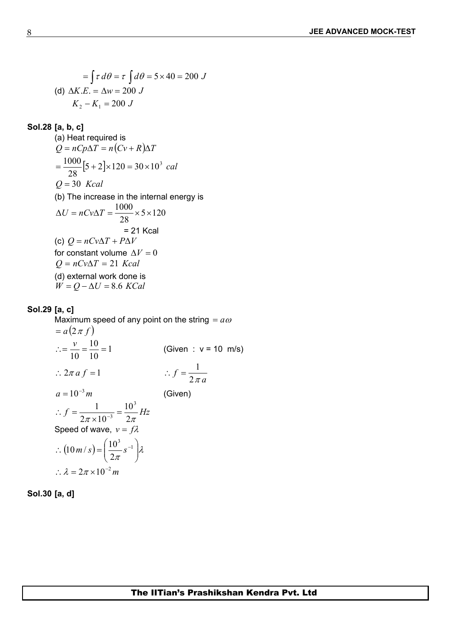$$
= \int \tau \, d\theta = \tau \int d\theta = 5 \times 40 = 200 \, J
$$
  
(d)  $\Delta K.E. = \Delta w = 200 \, J$   
 $K_2 - K_1 = 200 \, J$ 

## **Sol.28 [a, b, c]**

(a) Heat required is  $Q = nCp\Delta T = n(Cv + R)\Delta T$  $[5 + 2] \times 120 = 30 \times 10^3$  cal 28  $=\frac{1000}{20} [5 + 2] \times 120 = 30 \times 10^3$  cal  $Q = 30$  *Kcal* (b) The increase in the internal energy is  $5 \times 120$ 28  $\Delta U = nCv\Delta T = \frac{1000}{20} \times 5 \times 120$ = 21 Kcal (c)  $Q = nCV\Delta T + P\Delta V$ for constant volume  $\Delta V = 0$  $Q = nCv\Delta T = 21$  *Kcal* (d) external work done is  $W = Q - \Delta U = 8.6$  *KCal* 

## **Sol.29 [a, c]**

Maximum speed of any point on the string  $= a\omega$  $= a(2 \pi f)$  $\therefore = \frac{v}{10} = \frac{10}{10} = 1$  (Given : v = 10 m/s)  $10 \t 10$  $v = 10$  (Oher extent :  $2\pi a f = 1$  <br>  $\therefore f = \frac{1}{2\pi a}$ *a* 1  $a = 10^{-3} m$ (Given)  $f = \frac{1}{2}$   $\frac{1}{2}$   $\frac{1}{2}$   $\frac{1}{2}$   $\frac{1}{2}$   $\frac{1}{2}$  $\pi \times 10^{-3}$  2 $\pi$  $10^3$   $\overline{u}$  $2\pi \times 10^{-3}$   $2\pi$ 1  $10^3$   $\frac{1}{11}$  $\therefore f = \frac{1}{2\pi \times 10^{-3}} = \frac{10}{2\pi} Hz$ Speed of wave,  $v = f\lambda$  $(10 m/s) = \left(\frac{10}{2\pi} s^{-1}\right) \lambda$  $\lambda$  $\int$  $\int_{\Omega}$  $\left(10^3\right)$   $\left(10^3\right)$  $\therefore (10 \, m/s) = \left(\frac{10^3}{2} s^{-1}\right) \lambda$  $2\pi$   $\int$  $(10 \frac{m}{s}) = \left(\frac{10^3}{2} s^{-1}\right) \lambda$ *m*  $\therefore \lambda = 2\pi \times 10^{-2} m$ 

**Sol.30 [a, d]**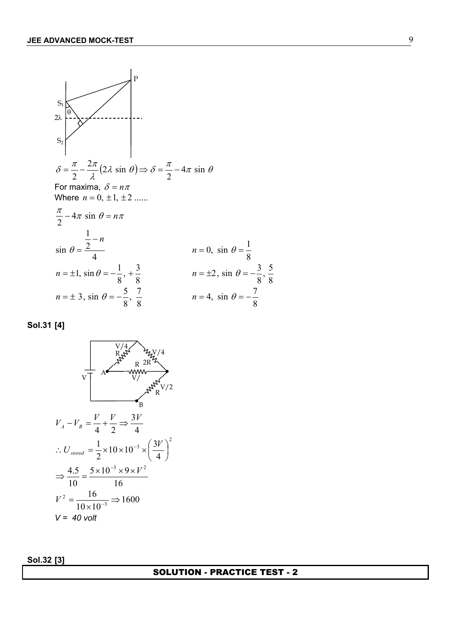

**Sol.31 [4]**



**Sol.32 [3]**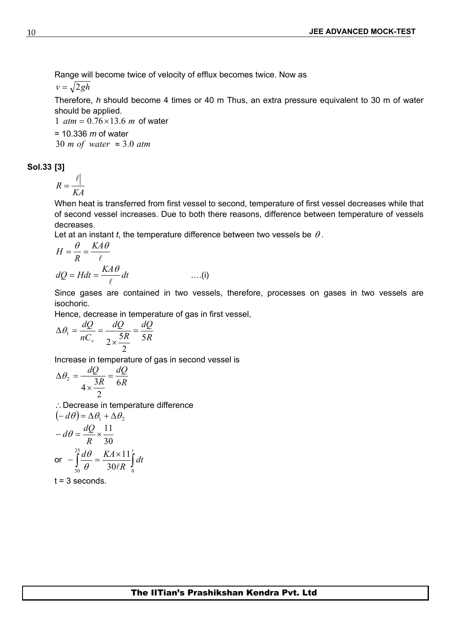Range will become twice of velocity of efflux becomes twice. Now as

 $v = \sqrt{2gh}$ 

Therefore, *h* should become 4 times or 40 m Thus, an extra pressure equivalent to 30 m of water should be applied.

1  $atm = 0.76 \times 13.6$  *m* of water

= 10.336 *m* of water 30 *m of* water  $\approx$  3.0 *atm* 

**Sol.33 [3]**

$$
R = \frac{\ell}{KA}
$$

When heat is transferred from first vessel to second, temperature of first vessel decreases while that of second vessel increases. Due to both there reasons, difference between temperature of vessels decreases.

Let at an instant *t*, the temperature difference between two vessels be  $\theta$ .

$$
H = \frac{\theta}{R} = \frac{KA\theta}{\ell}
$$
  

$$
dQ = Hdt = \frac{KA\theta}{\ell}dt
$$
 ....(i)

Since gases are contained in two vessels, therefore, processes on gases in two vessels are isochoric.

Hence, decrease in temperature of gas in first vessel,

$$
\Delta \theta_1 = \frac{dQ}{nC_v} = \frac{dQ}{2 \times \frac{5R}{2}} = \frac{dQ}{5R}
$$

Increase in temperature of gas in second vessel is

$$
\Delta \theta_2 = \frac{dQ}{4 \times \frac{3R}{2}} = \frac{dQ}{6R}
$$

 $\therefore$  Decrease in temperature difference

$$
(-d\theta) = \Delta\theta_1 + \Delta\theta_2
$$
  
\n
$$
-d\theta = \frac{dQ}{R} \times \frac{11}{30}
$$
  
\nor 
$$
-\int_{50}^{25} \frac{d\theta}{\theta} = \frac{KA \times 11}{30/R} \int_{0}^{t} dt
$$

 $t = 3$  seconds.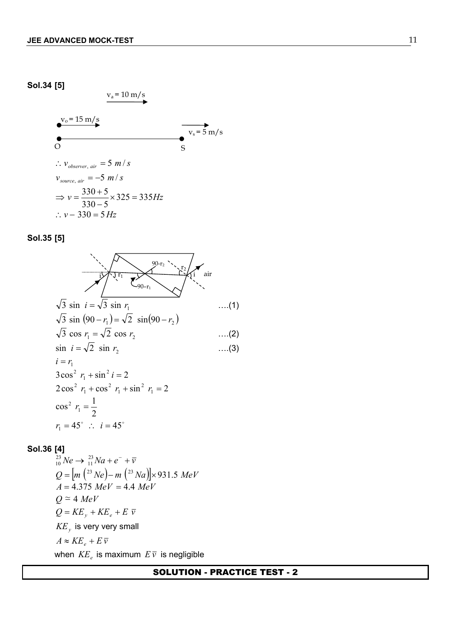#### **Sol.34 [5]**

 $v_o = 15 \text{ m/s}$  $v_a = 10 \text{ m/s}$ O S  $v_s = 5$  m/s  $\therefore$   $v_{\text{observer}, \text{air}} = 5 \, m/s$  $v_{source, air} = -5 \frac{m}{s}$  $v = \frac{336 + 3}{225} \times 325 = 335$  Hz  $330 - 5$  $\frac{330+5}{222} \times 325 = 335 Hz$  $-5$  $\Rightarrow v = \frac{330 + 5}{200} \times 325 = 335 Hz$  $\therefore$   $v - 330 = 5$  *Hz* 

#### **Sol.35 [5]**



## **Sol.36 [4]**

 $Ne \to \frac{23}{11}Na + e^- + \overline{v}$  $11^{1}$   $\mathbf{u}$   $\mathbf{c}$   $\mathbf{v}$  $^{23}$   $M_{\odot}$   $\sqrt{^{23}$   $M_{\odot}$   $\sqrt{^{2}}$   $\sqrt{^{2}}$  $10^{10}$   $\epsilon$   $11^{10}$   $\epsilon$   $\epsilon$   $\epsilon$  $Q = |m|^{(23)}$  *Ne*  $|-m|^{(23)}$  *Na*  $\parallel \times$  931.5 *MeV*  $A = 4.375$  *MeV* = 4.4 *MeV*  $Q \approx 4$  *MeV*  $Q = KE_v + KE_e + E \overline{v}$  $KE<sub>v</sub>$  is very very small  $A \approx KE_e + E\overline{v}$ when  $KE_e$  is maximum  $E\bar{v}$  is negligible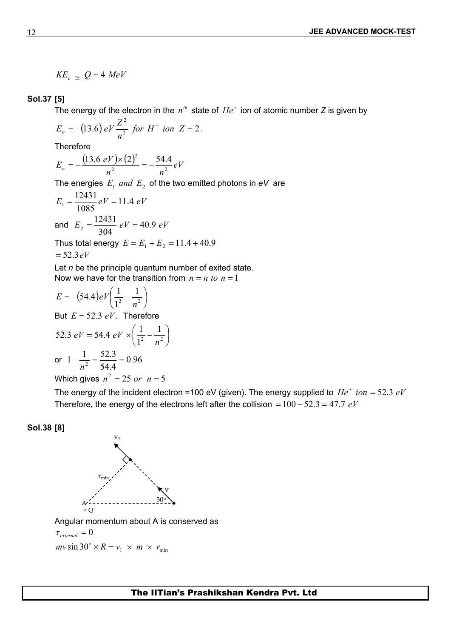$$
KE_e \simeq Q = 4 \; MeV
$$

## **Sol.37 [5]**

The energy of the electron in the  $n^{th}$  state of  $He^+$  ion of atomic number *Z* is given by

$$
E_n = -(13.6) \, eV \frac{Z^2}{n^2} \, \text{for} \, H^+ \, \text{ion} \, Z = 2 \, .
$$

**Therefore** 

$$
E_n = -\frac{(13.6 \text{ eV}) \times (2)^2}{n^2} = -\frac{54.4}{n^2} \text{ eV}
$$

The energies  $E_1$  *and*  $E_2$  of the two emitted photons in *eV* are

$$
E_1 = \frac{12431}{1085}eV = 11.4 eV
$$
  
and  $E_2 = \frac{12431}{304}eV = 40.9 eV$ 

Thus total energy  $E = E_1 + E_2 = 11.4 + 40.9$  $=$  52.3*eV* 

Let *n* be the principle quantum number of exited state. Now we have for the transition from  $n = n$  to  $n = 1$ 

$$
E = -(54.4)eV\left(\frac{1}{1^2} - \frac{1}{n^2}\right)
$$
  
But  $E = 52.3 eV$ . Therefore  
52.3  $eV = 54.4 eV \times \left(\frac{1}{1^2} - \frac{1}{n^2}\right)$   
or  $1 - \frac{1}{n^2} = \frac{52.3}{54.4} = 0.96$   
Which gives  $n^2 = 25$  or  $n = 5$ 

The energy of the incident electron =100 eV (given). The energy supplied to  $He^+$  *ion* = 52.3  $eV$ Therefore, the energy of the electrons left after the collision  $= 100 - 52.3 = 47.7$  *eV* 

**Sol.38 [8]**



Angular momentum about A is conserved as

 $\tau_{\text{external}} = 0$ 

 $mv \sin 30^\circ \times R = v_1 \times m \times r_{\text{min}}$ 

12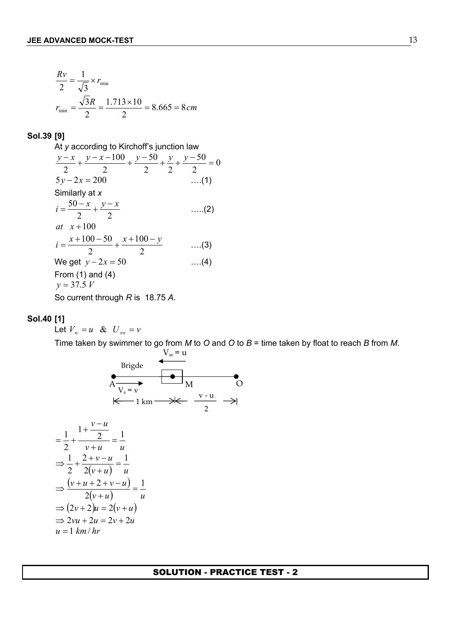$$
\frac{Rv}{2} = \frac{1}{\sqrt{3}} \times r_{\text{min}}
$$
  

$$
r_{\text{min}} = \frac{\sqrt{3}R}{2} = \frac{1.713 \times 10}{2} = 8.665 = 8 \text{ cm}
$$

#### **Sol.39 [9]**

At *y* according to Kirchoff's junction law 0 2  $50\quad\alpha$ 2 2  $50 y y - 50$ 2 2 2 2  $\frac{y-x}{2} + \frac{y-x-100}{2} + \frac{y-50}{2} + \frac{y}{2} + \frac{y-50}{2} = 0$  $5y - 2x = 200$  ….(1) Similarly at *x*  $\frac{x}{2} + \frac{y}{2}$  .....(2)  $i = \frac{50 - x}{2} + \frac{y - x}{2}$  (2) *at*  $x + 100$  $\frac{33}{2}$  ....(3)  $100 - y$ 2 2  $\cdots$  $i = \frac{x+100-50}{2} + \frac{x+100-y}{2}$  ....(3) We get  $y - 2x = 50$  ....(4) From (1) and (4)  $y = 37.5 V$ So current through *R* is 18.75 *A*.

#### **Sol.40 [1]**

Let  $V_w = u \& U_{sw} = v$ 

Time taken by swimmer to go from *M* to *O* and *O* to *B* = time taken by float to reach *B* from *M*.



$$
\frac{1}{2} + \frac{1 + \frac{v - u}{2}}{v + u} = \frac{1}{u}
$$
  
\n⇒  $\frac{1}{2} + \frac{2 + v - u}{2(v + u)} = \frac{1}{u}$   
\n⇒  $\frac{(v + u + 2 + v - u)}{2(v + u)} = \frac{1}{u}$   
\n⇒  $(2v + 2)u = 2(v + u)$   
\n⇒  $2vu + 2u = 2v + 2u$   
\n $u = 1 \text{ km}/hr$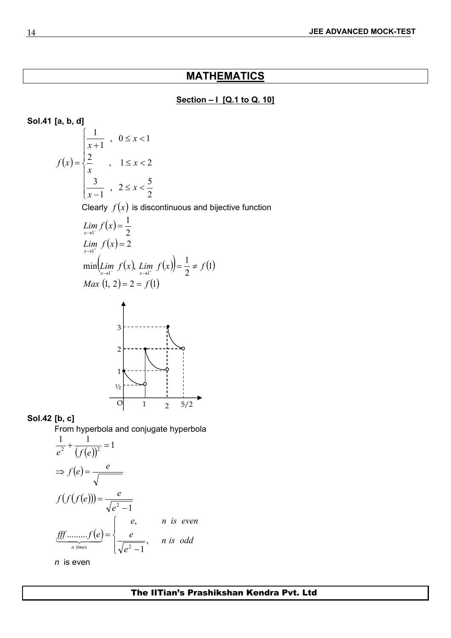# **MATHEMATICS**

## **Section – I [Q.1 to Q. 10]**

**Sol.41 [a, b, d]**  
\n
$$
f(x) = \begin{cases}\n\frac{1}{x+1}, & 0 \le x < 1 \\
\frac{2}{x}, & 1 \le x < 2 \\
\frac{3}{x-1}, & 2 \le x < \frac{5}{2} \\
\text{Clearly } f(x) \text{ is discontinuous and bijective function} \\
\frac{Lim}{x+1}f(x) = \frac{1}{2} \\
\frac{Lim}{x+1}f(x) = 2 \\
\frac{min(Lim}{x+1}f(x), \lim_{x \to 1^{-}} f(x)) = \frac{1}{2} \ne f(1) \\
\frac{Max(1, 2) = 2 = f(1)}{2} \\
\frac{3}{2} \\
\frac{1}{2} \\
\frac{1}{2} \\
\frac{1}{2} \\
\frac{1}{2} \\
\frac{1}{2} \\
\frac{1}{2} \\
\frac{1}{2} \\
\frac{1}{2} \\
\frac{1}{2} \\
\frac{1}{2} \\
\frac{1}{2} \\
\frac{1}{2} \\
\frac{1}{2} \\
\frac{1}{2} \\
\frac{1}{2} \\
\frac{1}{2} \\
\frac{1}{2} \\
\frac{1}{2} \\
\frac{1}{2} \\
\frac{1}{2} \\
\frac{1}{2} \\
\frac{1}{2} \\
\frac{1}{2} \\
\frac{1}{2} \\
\frac{1}{2} \\
\frac{1}{2} \\
\frac{1}{2} \\
\frac{1}{2} \\
\frac{1}{2} \\
\frac{1}{2} \\
\frac{1}{2} \\
\frac{1}{2} \\
\frac{1}{2} \\
\frac{1}{2} \\
\frac{1}{2} \\
\frac{1}{2} \\
\frac{1}{2} \\
\frac{1}{2} \\
\frac{1}{2} \\
\frac{1}{2} \\
\frac{1}{2} \\
\frac{1}{2} \\
\frac{1}{2} \\
\frac{1}{2} \\
\frac{1}{2} \\
\frac{1}{2} \\
\frac{1}{2} \\
\frac{1}{2} \\
\frac{1}{2} \\
\frac{1}{2} \\
\frac{1}{2} \\
\frac{1}{2} \\
\frac{1}{2} \\
\frac{1}{2} \\
\frac{1}{2} \\
\frac{1}{2} \\
\frac{1}{2} \\
\frac{1}{2} \\
\frac{1}{2} \\
\frac{1}{2} \\
\frac{1}{2} \\
\frac{1}{2} \\
\frac{1}{2} \\
\frac{1}{2} \\
\frac{1}{2} \\
\frac{1}{2} \\
\frac{1}{2} \\
\frac{1}{2
$$

**Sol.42 [b, c]** 

From hyperbola and conjugate hyperbola

 $\overline{O}$ 

 $\frac{1}{2}$ 

$$
\frac{1}{e^2} + \frac{1}{(f(e))^2} = 1
$$
  
\n
$$
\Rightarrow f(e) = \frac{e}{\sqrt{\frac{e^2 - 1}{e^2 - 1}}}
$$
  
\n
$$
\underbrace{f(f(f(e)))}_{n \text{ times}} = \begin{cases} e, & n \text{ is even} \\ \frac{e}{\sqrt{e^2 - 1}}, & n \text{ is odd} \end{cases}
$$

*n* is even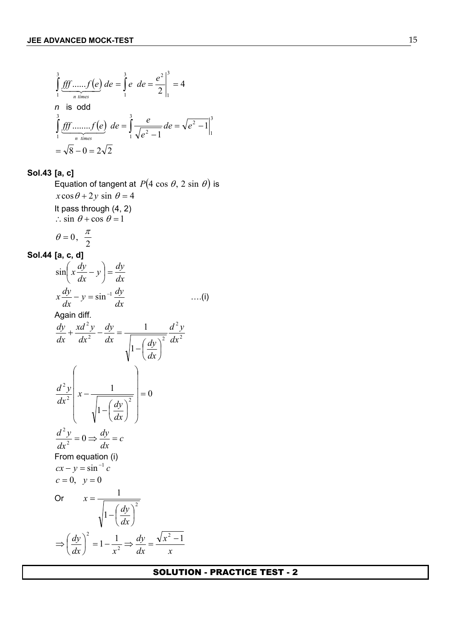$$
\int_{1}^{3} \underbrace{fff \dots f(e)}_{n \text{ times}} de = \int_{1}^{3} e \, de = \frac{e^{2}}{2} \Big|_{1}^{3} = 4
$$
\n  
\nn is odd\n
$$
\int_{1}^{3} \underbrace{fff \dots f(e)}_{n \text{ times}} de = \int_{1}^{3} \underbrace{e}_{\sqrt{e^{2} - 1}} de = \sqrt{e^{2} - 1} \Big|_{1}^{3}
$$
\n
$$
= \sqrt{8} - 0 = 2\sqrt{2}
$$

# **Sol.43 [a, c]**

Equation of tangent at  $P(4 \cos \theta, 2 \sin \theta)$  is  $x \cos \theta + 2y \sin \theta = 4$ It pass through (4, 2)  $\therefore$  sin  $\theta$  + cos  $\theta$  = 1  $\theta = 0, \frac{\pi}{2}$ 

$$
\begin{array}{c}\n\text{Sol.44 [a, c, d]}\n\end{array}
$$

$$
\sin\left(x\frac{dy}{dx} - y\right) = \frac{dy}{dx}
$$
\n
$$
x\frac{dy}{dx} - y = \sin^{-1}\frac{dy}{dx}
$$
\n
$$
x\frac{dy}{dx} + \frac{xd^2y}{dx^2} - \frac{dy}{dx} = \frac{1}{\sqrt{1 - \left(\frac{dy}{dx}\right)^2}} \frac{d^2y}{dx^2}
$$
\n
$$
\frac{d^2y}{dx^2}\left(x - \frac{1}{\sqrt{1 - \left(\frac{dy}{dx}\right)^2}}\right) = 0
$$
\n
$$
\frac{d^2y}{dx^2} = 0 \Rightarrow \frac{dy}{dx} = c
$$
\nFrom equation (i)\n
$$
cx - y = \sin^{-1}c
$$
\n
$$
c = 0, \ y = 0
$$
\n
$$
y = \frac{1}{\sqrt{1 - \left(\frac{dy}{dx}\right)^2}}
$$
\n
$$
\Rightarrow \left(\frac{dy}{dx}\right)^2 = 1 - \frac{1}{x^2} \Rightarrow \frac{dy}{dx} = \frac{\sqrt{x^2 - 1}}{x}
$$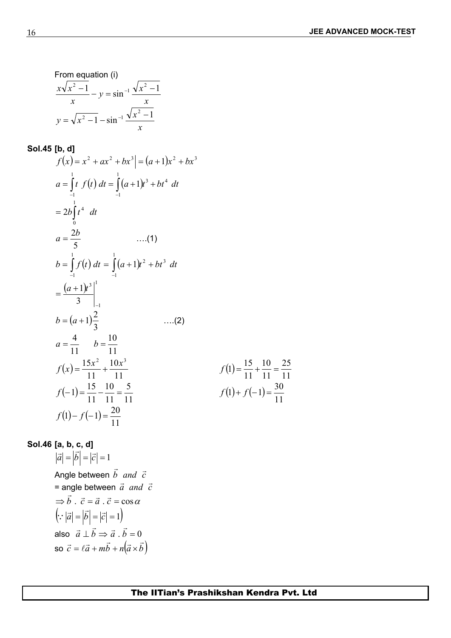25

10 25

From equation (i)  
\n
$$
\frac{x\sqrt{x^2 - 1}}{x} - y = \sin^{-1} \frac{\sqrt{x^2 - 1}}{x}
$$
\n
$$
y = \sqrt{x^2 - 1} - \sin^{-1} \frac{\sqrt{x^2 - 1}}{x}
$$

**Sol.45 [b, d]**  
\n
$$
f(x) = x^2 + ax^2 + bx^3 = (a+1)x^2 + bx^3
$$
\n
$$
a = \int_{-1}^{1} t f(t) dt = \int_{-1}^{1} (a+1)t^3 + bt^4 dt
$$
\n
$$
= 2b \int_{0}^{1} t^4 dt
$$
\n
$$
a = \frac{2b}{5} \qquad ....(1)
$$
\n
$$
b = \int_{-1}^{1} f(t) dt = \int_{-1}^{1} (a+1)t^2 + bt^3 dt
$$
\n
$$
= \frac{(a+1)t^3}{3} \Big|_{-1}^{1}
$$
\n
$$
b = (a+1)\frac{2}{3} \qquad ....(2)
$$
\n
$$
a = \frac{4}{11} \qquad b = \frac{10}{11}
$$
\n
$$
f(x) = \frac{15x^2}{11} + \frac{10x^3}{11}
$$
\n
$$
f(1) = \frac{15}{11} + \frac{10}{11} = \frac{25}{11}
$$
\n
$$
f(-1) = \frac{15}{11} - \frac{10}{11} = \frac{5}{11}
$$
\n
$$
f(1) - f(-1) = \frac{20}{11}
$$

**Sol.46** [a, b, c, d]  
\n
$$
|\vec{a}| = |\vec{b}| = |\vec{c}| = 1
$$
  
\nAngle between  $\vec{b}$  and  $\vec{c}$   
\n $\Rightarrow \vec{b} \cdot \vec{c} = \vec{a} \cdot \vec{c} = \cos \alpha$   
\n $(\because |\vec{a}| = |\vec{b}| = |\vec{c}| = 1)$   
\nalso  $\vec{a} \perp \vec{b} \Rightarrow \vec{a} \cdot \vec{b} = 0$   
\nso  $\vec{c} = \ell \vec{a} + m\vec{b} + n(\vec{a} \times \vec{b})$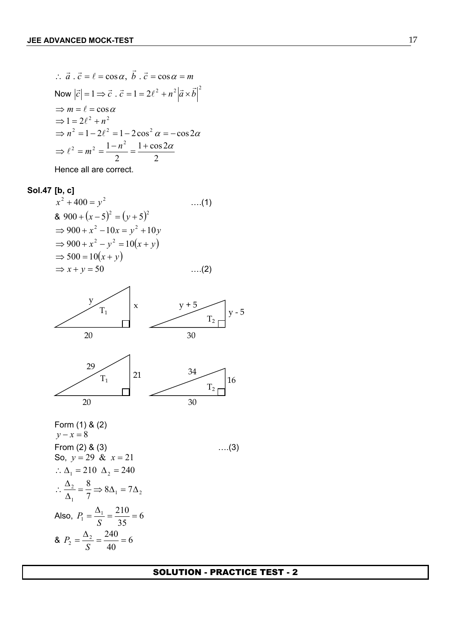$$
\therefore \vec{a} \cdot \vec{c} = \ell = \cos \alpha, \vec{b} \cdot \vec{c} = \cos \alpha = m
$$
  
\nNow  $|\vec{c}| = 1 \Rightarrow \vec{c} \cdot \vec{c} = 1 = 2\ell^2 + n^2 |\vec{a} \times \vec{b}|^2$   
\n
$$
\Rightarrow m = \ell = \cos \alpha
$$
  
\n
$$
\Rightarrow 1 = 2\ell^2 + n^2
$$
  
\n
$$
\Rightarrow n^2 = 1 - 2\ell^2 = 1 - 2\cos^2 \alpha = -\cos 2\alpha
$$
  
\n
$$
\Rightarrow \ell^2 = m^2 = \frac{1 - n^2}{2} = \frac{1 + \cos 2\alpha}{2}
$$
  
\nHence all are correct

Hence all are correct.

## **Sol.47 [b, c]**

$$
x2 + 400 = y2 \t\t\t....(1)
$$
  
\n& 900 + (x - 5)<sup>2</sup> = (y + 5)<sup>2</sup>  
\n⇒ 900 + x<sup>2</sup> - 10x = y<sup>2</sup> + 10y  
\n⇒ 900 + x<sup>2</sup> - y<sup>2</sup> = 10(x + y)  
\n⇒ 500 = 10(x + y)  
\n⇒ x + y = 50 \t\t....(2)





Form (1) & (2)  $y - x = 8$ From (2)  $\&$  (3)  $\qquad \qquad \qquad \qquad \dots (3)$ So,  $y = 29 \& x = 21$ ∴  $\Delta_1 = 210 \Delta_2 = 240$  $1 - \sqrt{2}$  $1$  and  $\sqrt{ }$  and  $\sqrt{ }$  and  $\sqrt{ }$  and  $\sqrt{ }$  and  $\sqrt{ }$  and  $\sqrt{ }$  and  $\sqrt{ }$  and  $\sqrt{ }$  and  $\sqrt{ }$  and  $\sqrt{ }$  and  $\sqrt{ }$  and  $\sqrt{ }$  and  $\sqrt{ }$  and  $\sqrt{ }$  and  $\sqrt{ }$  and  $\sqrt{ }$  and  $\sqrt{ }$  and  $\sqrt{ }$  and  $\sqrt{ }$  and  $\sqrt{$  $\frac{2}{2} = \frac{8}{2} \Rightarrow 8\Delta_1 = 7\Delta_2$  $7 \t 7$  $=\frac{8}{5} \Rightarrow 8\Delta_1 = 7\Delta_2$  $\Delta_1$  7  $\sim$   $\Delta_1$   $\sim$   $\Delta_2$  $\therefore \frac{\Delta_2}{\Delta_1} = \frac{8}{7} \Rightarrow 8\Delta_1 = 7\Delta_2$ Also,  $P_1 = \frac{P_1}{Q_1} = \frac{210}{25} = 6$ 35  $P_1 = \frac{\Delta_1}{\Delta_1} = \frac{210}{35} = 6$ *S* 35  $P_1 = \frac{P_1}{r} = \frac{246}{r} = 6$  $R_2 = \frac{42}{3} = \frac{240}{10} = 6$ 40  $\sum_{2}^{3} = \frac{\Delta_{2}}{S} = \frac{240}{40} = 6$ *S P*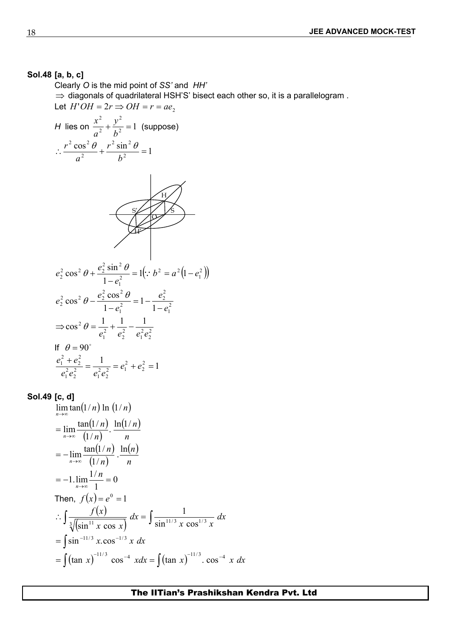## **Sol.48 [a, b, c]**

Clearly *O* is the mid point of *SS'* and *HH'*  $\Rightarrow$  diagonals of quadrilateral HSH'S' bisect each other so, it is a parallelogram. Let  $H'OH = 2r \Rightarrow OH = r = ae$ , *H* lies on  $\frac{x}{a^2} + \frac{y}{b^2} = 1$  (suppose) 2 2  $\mu^2$  capped, 2  $\ldots$ <sup>2</sup>  $+\frac{y}{12}=1$  (suppose)  $b^2$  $y^2$  1 (*zurnozo*)  $a^2$   $b^2$   $(2a)^2$  $x^2$ ,  $y^2$ , 1 (2) (2) 1  $\cos^2 \theta \, r^2 \sin^2 \theta$ 2  $\overline{1}$  $2 \sin^2 \theta$ 2  $\mu^2$   $\mu^2$  $^{2}$  2  $^{2}$   $^{2}$   $^{12}$   $^{2}$   $^{2}$   $^{2}$   $^{2}$  $\therefore \frac{7}{2} + \frac{603}{12} = 1$  $b^2$  $r^2 \sin^2 \theta$  $a^2$   $b^2$  $r^2 \cos^2 \theta$   $r^2 \sin^2 \theta$ H S O S' H'  $\left(\because b^2 = a^2(1-e_1^2)\right)$  $1 \mathcal{Y}$  $2 - a^2 \left( 1 - a^2 \right)$ 2  $\cdots$   $\cdots$   $\cdots$   $\cdots$ 1  $\frac{2}{2} \cos^2 \theta + \frac{e_2^2 \sin^2 \theta}{1 - e_1^2} = 1 \left(\because b^2 = a^2 \left(1 - e_1^2\right)\right)$  $\cos^2 \theta + \frac{e_2^2 \sin^2 \theta}{4} = 1 \div b^2 = a^2 (1 - e_1^2)$  $e_1^2$  (1)  $e_2^2 \cos^2 \theta + \frac{e_2^2 \sin^2 \theta}{2} = 1 \left( \because b^2 = a^2 (1 - e_1^2) \right)$  $-e_1^2$   $\left(\begin{array}{cc} -e_1 & \cdots & -e_n \\ \cdots & \cdots & -e_n \end{array}\right)$  $\theta + \frac{e_2^2 \sin^2 \theta}{2} = 1(:, b^2 = a^2(1-e_1^2))$ 2 1 2 2 2  $\frac{1}{2}$   $\frac{2}{2}$ 1  $1 - \epsilon_1$  $e^2$  2  $e^2$   $\cos^2 \theta$   $-1$   $e^2$  $\frac{2}{2}$  cos<sup>2</sup>  $\theta - \frac{e_2}{1 - e_1^2} = 1 - \frac{e_2}{1 - e_1^2}$  $1-e_1^2$   $1-e_1^2$  $\cos^2 \theta - \frac{e_2^2 \cos^2 \theta}{e^2} = 1 - \frac{e_2^2}{e^2}$  $e_1^2$  $e_1^2$   $1-e_1^2$  $e_2^2 \cos^2 \theta - \frac{e_2^2 \cos^2 \theta}{1 - e_1^2} = 1 - \frac{e_2^2}{1 - e_1^2}$  $-e_1^2$   $1-e_1^2$  $\theta - \frac{e_2^2 \cos^2 \theta}{e_2^2} = 1 - \frac{e_2^2}{e_2^2}$ 2 2 2  $\alpha$ <sup>2</sup>  $\alpha$ <sup>2</sup>  $1\,\epsilon_2$ 2  $\epsilon_1 \epsilon_2$ 2  $2^2$   $2^2$  $\epsilon_1$   $\epsilon_2$   $\epsilon_1$   $\epsilon_2$  $\cos^2\theta = \frac{1}{2} + \frac{1}{2} - \frac{1}{2}$  $e_1^2$   $e_2^2$   $e_1^2 e_2^2$  $\Rightarrow \cos^2 \theta = \frac{1}{2} + \frac{1}{2} - \frac{1}{2}$ If  $\theta = 90^\circ$ 1  $1$   $2^{2}$   $2^{2}$  1  $2^{\frac{1}{2}}$ 2  $\sqrt{2}$  1  $\frac{1}{2} - e_1 + e_2 - 1$ 2  $2a^2 - 1$   $c_1$   $c_2$   $-1$  $1\,\epsilon_2$ 2  $\frac{2}{a^2 a^2}$   $\frac{1}{a^2}$   $\frac{1}{a^2}$ 2  $\epsilon_1 \epsilon_2$  $2a^2$   $a^2$   $a^2$   $a^2$   $a^2$  $1\epsilon_2$   $\epsilon_1\epsilon_2$ 2  $\qquad$  1  $2 = \frac{1}{2}$   $2^2$   $2^2$   $1$ 2  $^2$  1  $\frac{e^{2}+e^{2}}{1^{2}e^{2}}=-\frac{1}{2^{2}e^{2}}=e^{2}+e^{2}e^{2}=1$  $e_1^2 + e_2^2 = 1$  $e_1^2 e_2^2$   $e_1^2 e_2^2$   $e_1^2 e_2^2$  $e_1^2 + e_2^2$  1<sub>2, 2</sub>,

## **Sol.49 [c, d]**

$$
\lim_{n \to \infty} \tan(1/n) \ln (1/n)
$$
\n  
\n
$$
= \lim_{n \to \infty} \frac{\tan(1/n)}{(1/n)} \cdot \frac{\ln(1/n)}{n}
$$
\n  
\n
$$
= -\lim_{n \to \infty} \frac{\tan(1/n)}{(1/n)} \cdot \frac{\ln(n)}{n}
$$
\n  
\n
$$
= -1 \cdot \lim_{n \to \infty} \frac{1/n}{1} = 0
$$
\n  
\nThen,  $f(x) = e^0 = 1$ \n  
\n
$$
\therefore \int \frac{f(x)}{\sqrt[3]{(\sin^{11} x \cos x)}} dx = \int \frac{1}{\sin^{11/3} x \cos^{1/3} x} dx
$$
\n  
\n
$$
= \int \sin^{-11/3} x \cdot \cos^{-1/3} x dx
$$
\n  
\n
$$
= \int (\tan x)^{-11/3} \cos^{-4} x dx = \int (\tan x)^{-11/3} \cdot \cos^{-4} x dx
$$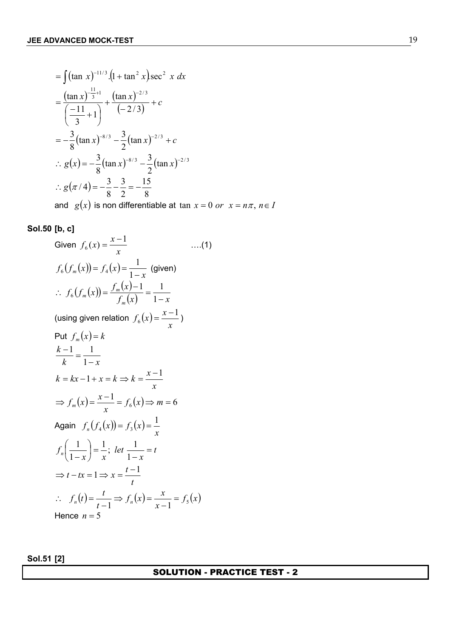$$
= \int (\tan x)^{-11/3} \cdot (1 + \tan^2 x) \sec^2 x \, dx
$$
  
\n
$$
= \frac{(\tan x)^{-\frac{11}{3}+1}}{\left(-\frac{11}{3}+1\right)} + \frac{(\tan x)^{-2/3}}{\left(-\frac{2}{3}\right)} + c
$$
  
\n
$$
= -\frac{3}{8}(\tan x)^{-8/3} - \frac{3}{2}(\tan x)^{-2/3} + c
$$
  
\n
$$
\therefore g(x) = -\frac{3}{8}(\tan x)^{-8/3} - \frac{3}{2}(\tan x)^{-2/3}
$$
  
\n
$$
\therefore g(\pi/4) = -\frac{3}{8} - \frac{3}{2} = -\frac{15}{8}
$$

and  $g(x)$  is non differentiable at  $\tan x = 0$  *or*  $x = n\pi$ ,  $n \in I$ 

## **Sol.50 [b, c]**

Given 
$$
f_6(x) = \frac{x-1}{x}
$$
 ....(1)  
\n
$$
f_6(f_m(x)) = f_4(x) = \frac{1}{1-x}
$$
 (given)  
\n
$$
\therefore f_6(f_m(x)) = \frac{f_m(x)-1}{f_m(x)} = \frac{1}{1-x}
$$
  
\n(using given relation  $f_6(x) = \frac{x-1}{x}$ )  
\nPut  $f_m(x) = k$   
\n
$$
\frac{k-1}{k} = \frac{1}{1-x}
$$
  
\n
$$
k = kx - 1 + x = k \Rightarrow k = \frac{x-1}{x}
$$
  
\n
$$
\Rightarrow f_m(x) = \frac{x-1}{x} = f_6(x) \Rightarrow m = 6
$$
  
\nAgain  $f_n(f_4(x)) = f_3(x) = \frac{1}{x}$   
\n
$$
f_n\left(\frac{1}{1-x}\right) = \frac{1}{x}; \text{ let } \frac{1}{1-x} = t
$$
  
\n
$$
\Rightarrow t - tx = 1 \Rightarrow x = \frac{t-1}{t}
$$
  
\n
$$
\therefore f_n(t) = \frac{t}{t-1} \Rightarrow f_n(x) = \frac{x}{x-1} = f_5(x)
$$
  
\nHence  $n = 5$ 

**Sol.51 [2]**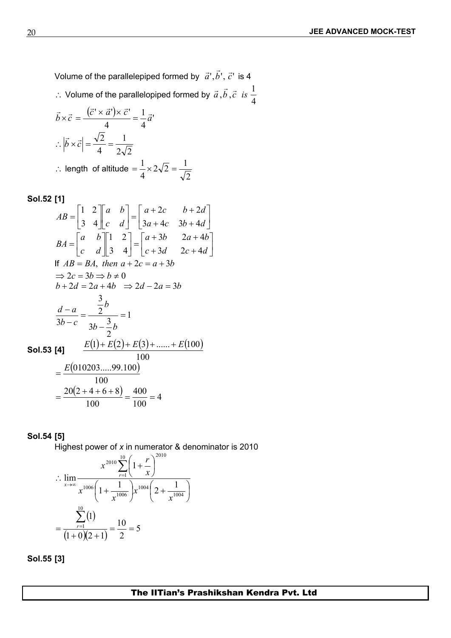Volume of the parallelepiped formed by  $\vec{a}', \vec{b}', \vec{c}'$  is 4

∴ Volume of the parallelopiped formed by  $\vec{a}$ , $\vec{b}$ , $\vec{c}$  *is*  $\frac{1}{4}$ 1

$$
\vec{b} \times \vec{c} = \frac{(\vec{c}' \times \vec{a}') \times \vec{c}'}{4} = \frac{1}{4} \vec{a}'
$$
  
\n
$$
\therefore |\vec{b} \times \vec{c}| = \frac{\sqrt{2}}{4} = \frac{1}{2\sqrt{2}}
$$
  
\n
$$
\therefore \text{ length of altitude} = \frac{1}{4} \times 2\sqrt{2} = \frac{1}{\sqrt{2}}
$$

**Sol.52 [1]**

$$
AB = \begin{bmatrix} 1 & 2 \\ 3 & 4 \end{bmatrix} \begin{bmatrix} a & b \\ c & d \end{bmatrix} = \begin{bmatrix} a+2c & b+2d \\ 3a+4c & 3b+4d \end{bmatrix}
$$
  
\n
$$
BA = \begin{bmatrix} a & b \\ c & d \end{bmatrix} \begin{bmatrix} 1 & 2 \\ 3 & 4 \end{bmatrix} = \begin{bmatrix} a+3b & 2a+4b \\ c+3d & 2c+4d \end{bmatrix}
$$
  
\nIf  $AB = BA$ , then  $a+2c = a+3b$   
\n $\Rightarrow 2c = 3b \Rightarrow b \neq 0$   
\n $b+2d = 2a+4b \Rightarrow 2d-2a = 3b$   
\n
$$
\frac{d-a}{3b-c} = \frac{\frac{3}{2}b}{3b-\frac{3}{2}b} = 1
$$
  
\n**SoI.53 [4]** 
$$
\frac{E(1)+E(2)+E(3)+.....+E(100)}{100}
$$
  
\n
$$
= \frac{E(010203.....99.100)}{100}
$$
  
\n
$$
= \frac{20(2+4+6+8)}{100} = \frac{400}{100} = 4
$$

## **Sol.54 [5]**

Highest power of *x* in numerator & denominator is 2010

$$
\therefore \lim_{x \to \infty} \frac{x^{2010} \sum_{r=1}^{10} \left(1 + \frac{r}{x}\right)^{2010}}{x^{1006} \left(1 + \frac{1}{x^{1006}}\right) x^{1004} \left(2 + \frac{1}{x^{1004}}\right)}
$$

$$
= \frac{\sum_{r=1}^{10} (1)}{(1+0)(2+1)} = \frac{10}{2} = 5
$$

**Sol.55 [3]**

The IITian's Prashikshan Kendra Pvt. Ltd.

2 a set of  $\sim$  2 a set of  $\sim$  2 a set of  $\sim$  2 a set of  $\sim$  3 a set of  $\sim$  3 a set of  $\sim$  3 a set of  $\sim$  3 a set of  $\sim$  3 a set of  $\sim$  3 a set of  $\sim$  3 a set of  $\sim$  3 a set of  $\sim$  3 a set of  $\sim$  3 a set of  $\sim$ 1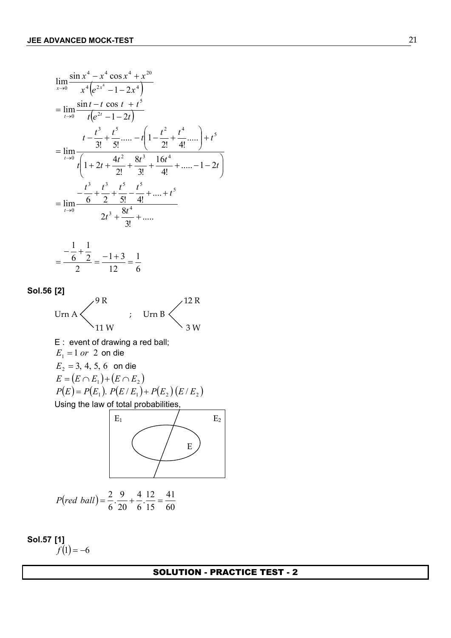$$
\lim_{x\to 0} \frac{\sin x^4 - x^4 \cos x^4 + x^{20}}{x^4 [e^{2x^4} - 1 - 2x^4]}
$$
\n
$$
= \lim_{t\to 0} \frac{\sin t - t \cos t + t^5}{t(e^{2t} - 1 - 2t)}
$$
\n
$$
t - \frac{t^3}{3!} + \frac{t^5}{5!} + \dots - t \left(1 - \frac{t^2}{2!} + \frac{t^4}{4!} + \dots\right) + t^5
$$
\n
$$
= \lim_{t\to 0} \frac{t^3 + t^3 + 3^3 + 16t^4 + \dots - 1 - 2t}{t^2 + 2!} + \frac{t^3}{3!} + \frac{16t^4}{4!} + \dots - 1 - 2t
$$
\n
$$
= \lim_{t\to 0} \frac{t^3 + t^3}{2t^3 + \frac{t^5}{3!} + \dots} + \frac{t^5}{t^5}
$$
\n
$$
= \frac{1}{t^5} + \frac{1}{2} - \frac{1+3}{12} = \frac{1}{6}
$$
\n**Sol.56 [2]**\n
$$
\lim_{E_1 = 1 \text{ or } 2 \text{ on die}}
$$
\n
$$
E_2 = 3, 4, 5, 6 \text{ on die}
$$
\n
$$
E_3 = 3, 4, 5, 6 \text{ on die}
$$
\n
$$
E_4 = \frac{1}{2} - \frac{1+3}{2} = \frac{1}{2}
$$
\n
$$
P(E) = P(E_1) \cdot P(E/E_1) + P(E_2) (E/E_2)
$$
\n
$$
V = \lim_{E_1 = 0} \frac{E_2}{E_1} = 3, 4, 5, 6 \text{ on die}
$$
\n
$$
E = (E \cap E_1) \cdot (E \cap E_2)
$$
\n
$$
P(E) = P(E_1) \cdot P(E/E_1) + P(E_2) (E/E_2)
$$
\n
$$
V = \lim_{E_3 = 0} \frac{E_3}{E_3} = \frac{2}{5} \cdot \frac{4}{5} + \frac{12}{15} = \frac{41}{60}
$$

**Sol.57 [1]**  $f(1) = -6$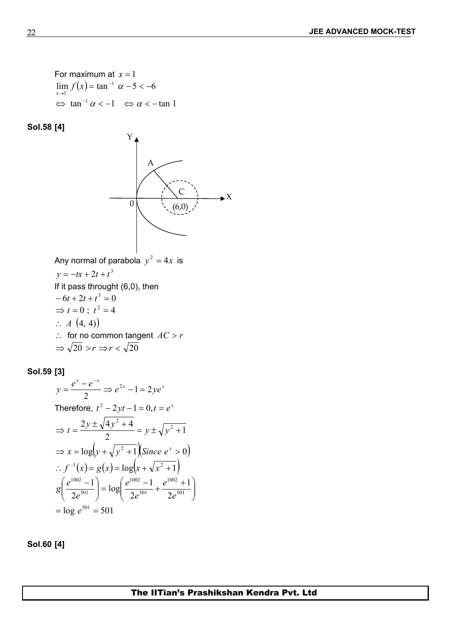For maximum at  $x = 1$  $\lim_{x \to 1^{-}} f(x) = \tan^{-1} \alpha - 5 < -6$  $\Leftrightarrow$  tan<sup>-1</sup>  $\alpha$  < -1  $\iff \alpha$  < -tan 1

**Sol.58 [4]**



## **Sol.59 [3]**

$$
y = \frac{e^x - e^{-x}}{2} \Rightarrow e^{2x} - 1 = 2ye^x
$$
  
Therefore,  $t^2 - 2yt - 1 = 0, t = e^x$   

$$
\Rightarrow t = \frac{2y \pm \sqrt{4y^2 + 4}}{2} = y \pm \sqrt{y^2 + 1}
$$
  

$$
\Rightarrow x = \log(y + \sqrt{y^2 + 1})(Since \ e^x > 0)
$$
  

$$
\therefore f^{-1}(x) = g(x) = \log(x + \sqrt{x^2 + 1})
$$
  

$$
g\left(\frac{e^{1002} - 1}{2e^{501}}\right) = \log\left(\frac{e^{1002} - 1}{2e^{501}} + \frac{e^{1002} + 1}{2e^{501}}\right)
$$
  

$$
= \log e^{501} = 501
$$

**Sol.60 [4]**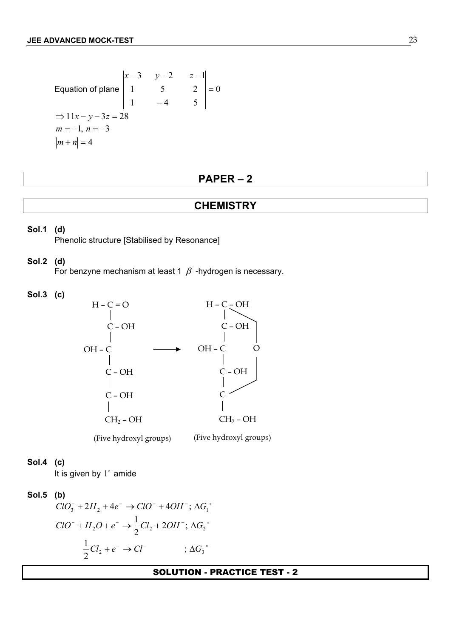Equation of plane 
$$
\begin{vmatrix} x-3 & y-2 & z-1 \ 1 & 5 & 2 \ 1 & -4 & 5 \ \end{vmatrix} = 0
$$
  
\n
$$
\Rightarrow 11x - y - 3z = 28
$$
  
\n $m = -1, n = -3$   
\n $|m + n| = 4$ 

## **PAPER – 2**

## **CHEMISTRY**

#### **Sol.1 (d)**

Phenolic structure [Stabilised by Resonance]

#### **Sol.2 (d)**

For benzyne mechanism at least 1  $\beta$  -hydrogen is necessary.

**Sol.3 (c)**



(Five hydroxyl groups) (Five hydroxyl groups)

#### **Sol.4 (c)**

It is given by  $1^\circ$  amide

#### **Sol.5 (b)**

  $ClO_3^- + 2H_2 + 4e^- \rightarrow ClO^- + 4OH^-; \Delta G_1^{\circ}$  $\sim$  0.000  $\sim$  0.000  $\sim$  0.000  $\sim$  0.000  $\sim$  0.000  $\sim$  0.000  $\sim$  0.000  $\sim$  0.000  $\sim$  0.000  $\sim$  0.000  $\sim$  0.000  $\sim$  0.000  $\sim$  0.000  $\sim$  0.000  $\sim$  0.000  $\sim$  0.000  $\sim$  0.000  $\sim$  0.000  $\sim$  0.000  $\sim$  0.000  $ClO^{-} + H_2O + e^{-} \rightarrow \frac{1}{2}Cl_2 + 2OH^{-}$ ;  $\Delta G_2^{\circ}$   $\frac{1}{2}Cl_2 + e^- \to Cl^-$  ;  $\Delta G_3$ °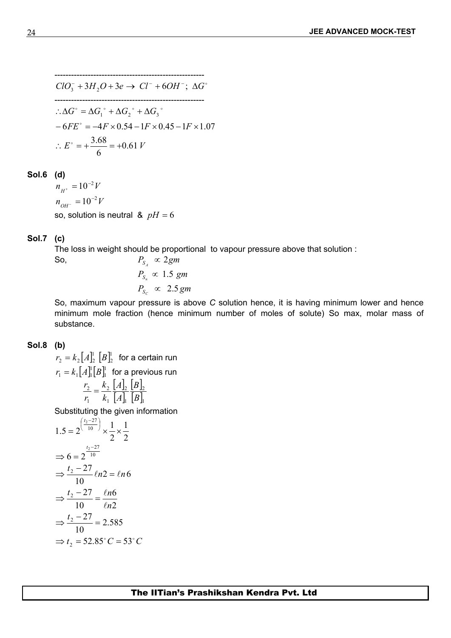------------------------------------------------------  $ClO_3^- + 3H_2O + 3e \rightarrow Cl^- + 6OH^-; \ \Delta G^{\circ}$ ------------------------------------------------------  $E^{\circ} = +\frac{3.00}{I} = +0.61 V$  $-6FE^{\circ} = -4F \times 0.54 - 1F \times 0.45 - 1F \times 1.07$  $\therefore \Delta G^{\circ} = \Delta G_1^{\circ} + \Delta G_2^{\circ} + \Delta G_3^{\circ}$  $\epsilon$  6.000  $\epsilon$  6.000  $\epsilon$  $\therefore E^{\circ} = +\frac{3.68}{4.61} = +0.61 V$ 

## **Sol.6 (d)**

 $n_{H^+} = 10^{-2} V$  $n_{OH^-} = 10^{-2} V$ so, solution is neutral  $\&$   $pH = 6$ 

## **Sol.7 (c)**

The loss in weight should be proportional to vapour pressure above that solution :

So,  
\n
$$
P_{S_A} \propto 2gm
$$
\n
$$
P_{S_n} \propto 1.5 \, gm
$$
\n
$$
P_{S_C} \propto 2.5 \, gm
$$

So, maximum vapour pressure is above *C* solution hence, it is having minimum lower and hence minimum mole fraction (hence minimum number of moles of solute) So max, molar mass of substance.

## **Sol.8 (b)**

 $\left[A\right]_2^{\scriptscriptstyle\mathrm{I}}\left[B\right]_2^{\scriptscriptstyle\mathrm{I}}\,$  for a certain run  $r_{2} = k_{2} \big[A]_{2}^{\text{l}} \ \big[B]_{2}^{\text{l}} \ \ \ \text{for a certain run}$  $\left[A\right]_{{\rm l}}^{{\rm l}}\left[B\right]_{{\rm l}}^{{\rm l}}$  for a previous run  $r_{\scriptscriptstyle\rm I}=k_{\scriptscriptstyle\rm I}[A]_{\scriptscriptstyle\rm I}^{\scriptscriptstyle\rm I}$  [ $B$ ] $\scriptscriptstyle\rm I\hspace{-1pt}I}^{\scriptscriptstyle\rm I}$  for a previous run  $\left|A\right|_2$   $\left|B\right|_2$  $\left|A\right|_1$   $\left|B\right|_1$  $|B|_2$  $\begin{bmatrix} B \end{bmatrix}$ 2 2  $\mathbf{P}$   $\mathbf{I}$ 2  $1$   $\lfloor$ <sup>2</sup>  $\rfloor$ 1  $\lfloor$   $\lfloor$   $\lfloor$   $\rfloor$ 1  $\lfloor$ 2  $\begin{bmatrix} 1 & 1 \\ 2 & 1 \end{bmatrix}$   $\begin{bmatrix} 1 & 1 \\ 2 & 1 \end{bmatrix}$  $1 \quad N_1$   $\lfloor 1 \rfloor$   $\lfloor 1 \rfloor$   $\lfloor 1 \rfloor$ 2  $B\vert_{\rm I}$  $B\vert_{2}$  $A_{\parallel}$  |  $B_{\parallel}$  $A\vert_{2}$   $\vert B\vert_{2}$  $k_1$  |  $A$ | |  $B$ |  $k_2 |A|_2 |B|_2$  $r_1$   $k_1$   $A$ <sub>1</sub>  $B$ <sub>1</sub>  $r_2 = \frac{k_2}{I} \frac{A}{I} \frac{B}{I} \frac{B}{I}$ 

Substituting the given information

$$
1.5 = 2^{\frac{(t_2 - 27)}{10}} \times \frac{1}{2} \times \frac{1}{2}
$$
  
\n
$$
\Rightarrow 6 = 2^{\frac{t_2 - 27}{10}}
$$
  
\n
$$
\Rightarrow \frac{t_2 - 27}{10} \ln 2 = \ln 6
$$
  
\n
$$
\Rightarrow \frac{t_2 - 27}{10} = \frac{\ln 6}{\ln 2}
$$
  
\n
$$
\Rightarrow \frac{t_2 - 27}{10} = 2.585
$$
  
\n
$$
\Rightarrow t_2 = 52.85^\circ C = 53^\circ C
$$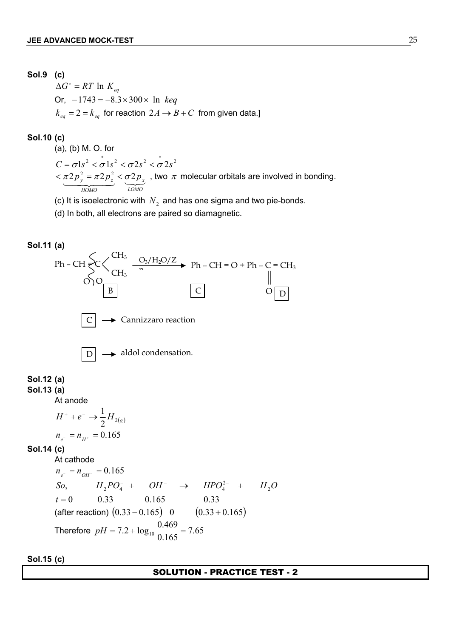**Sol.9 (c)**  $\Delta G^{\circ} = RT \ln K_{eq}$ Or,  $-1743 = -8.3 \times 300 \times \ln \text{ keq}$  $k_{eq} = 2 = k_{eq}$  for reaction  $2A \rightarrow B + C$  from given data.]

**Sol.10 (c)**

(a), (b) M. O. for  $C = \sigma 1s^2 < \sigma 1s^2 < \sigma 2s^2 < \sigma 2s^2$  $\frac{\pi 2p_y^2 = \pi 2p_z^2}{P_{\text{M}}^2} < \underbrace{\sigma 2p_x}_{\text{LOMO}}$ , two  $\pi$  molecular orbitals are involved in bonding. *HOMO*  $<\pi 2p_{_{{\cal Y}}}^{\,2}=\pi 2p_{_{{\cal Z}}}^{\,2}<\sigma 2p_{_{{\scriptscriptstyle X}}}$  , two  $\,\pi\,$  molecular orbitals are involved in bonding

(c) It is isoelectronic with  $N_2$  and has one sigma and two pie-bonds.

(d) In both, all electrons are paired so diamagnetic.



**Sol.15 (c)**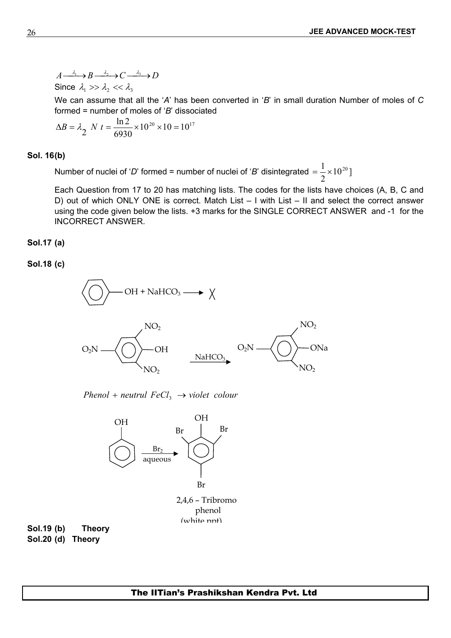$A \xrightarrow{\lambda_1} B \xrightarrow{\lambda_2} C \xrightarrow{\lambda_3} D$ Since  $\lambda_1 >> \lambda_2 << \lambda_3$ 

We can assume that all the '*A*' has been converted in '*B*' in small duration Number of moles of *C* formed = number of moles of '*B*' dissociated

$$
\Delta B = \lambda_2 \quad N \ t = \frac{\ln 2}{6930} \times 10^{20} \times 10 = 10^{17}
$$

#### **Sol. 16(b)**

Number of nuclei of '*D*' formed = number of nuclei of '*B*' disintegrated  $=\frac{1}{2}\times 10^{20}$  ]

Each Question from 17 to 20 has matching lists. The codes for the lists have choices (A, B, C and D) out of which ONLY ONE is correct. Match List – I with List – II and select the correct answer using the code given below the lists. +3 marks for the SINGLE CORRECT ANSWER and -1 for the INCORRECT ANSWER.

## **Sol.17 (a)**

**Sol.18 (c)** 



*Phenol* + *neutrul*  $FeCl_3 \rightarrow violet$  *colour* 



2,4,6 – Tribromo phenol  $(white$  nnt $)$ 

**Sol.19 (b) Theory Sol.20 (d) Theory**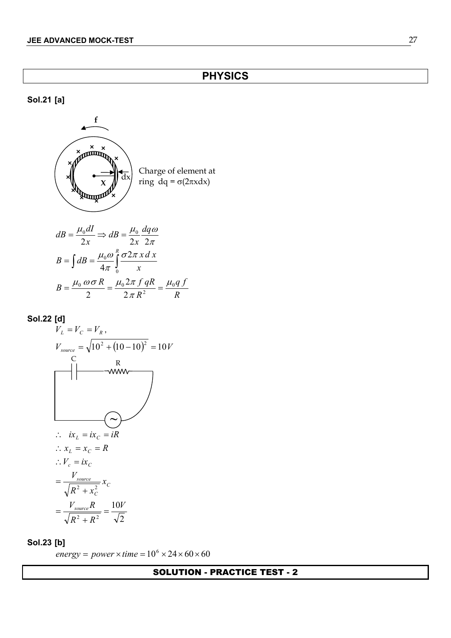## **Sol.21 [a]**

$$
\begin{pmatrix}\nx \\
\frac{1}{x} \\
\frac{1}{x} \\
\frac{1}{x} \\
\frac{1}{x} \\
\frac{1}{x} \\
\frac{1}{x} \\
\frac{1}{x} \\
\frac{1}{x} \\
\frac{1}{x} \\
\frac{1}{x} \\
\frac{1}{x} \\
\frac{1}{x} \\
\frac{1}{x} \\
\frac{1}{x} \\
\frac{1}{x} \\
\frac{1}{x} \\
\frac{1}{x} \\
\frac{1}{x} \\
\frac{1}{x} \\
\frac{1}{x} \\
\frac{1}{x} \\
\frac{1}{x} \\
\frac{1}{x} \\
\frac{1}{x} \\
\frac{1}{x} \\
\frac{1}{x} \\
\frac{1}{x} \\
\frac{1}{x} \\
\frac{1}{x} \\
\frac{1}{x} \\
\frac{1}{x} \\
\frac{1}{x} \\
\frac{1}{x} \\
\frac{1}{x} \\
\frac{1}{x} \\
\frac{1}{x} \\
\frac{1}{x} \\
\frac{1}{x} \\
\frac{1}{x} \\
\frac{1}{x} \\
\frac{1}{x} \\
\frac{1}{x} \\
\frac{1}{x} \\
\frac{1}{x} \\
\frac{1}{x} \\
\frac{1}{x} \\
\frac{1}{x} \\
\frac{1}{x} \\
\frac{1}{x} \\
\frac{1}{x} \\
\frac{1}{x} \\
\frac{1}{x} \\
\frac{1}{x} \\
\frac{1}{x} \\
\frac{1}{x} \\
\frac{1}{x} \\
\frac{1}{x} \\
\frac{1}{x} \\
\frac{1}{x} \\
\frac{1}{x} \\
\frac{1}{x} \\
\frac{1}{x} \\
\frac{1}{x} \\
\frac{1}{x} \\
\frac{1}{x} \\
\frac{1}{x} \\
\frac{1}{x} \\
\frac{1}{x} \\
\frac{1}{x} \\
\frac{1}{x} \\
\frac{1}{x} \\
\frac{1}{x} \\
\frac{1}{x} \\
\frac{1}{x} \\
\frac{1}{x} \\
\frac{1}{x} \\
\frac{1}{x} \\
\frac{1}{x} \\
\frac{1}{x} \\
\frac{1}{x} \\
\frac{1}{x} \\
\frac{1}{x} \\
\frac{1}{x} \\
\frac{1}{x} \\
\frac{1}{x} \\
\frac{1}{x} \\
\frac{1}{x} \\
\frac{1}{x} \\
\frac{1}{x} \\
\frac{1}{x} \\
\frac{1}{x} \\
\frac{1}{x} \\
\frac{1}{x} \\
\frac{1}{x} \\
$$

$$
dB = \frac{\mu_0 dI}{2x} \Rightarrow dB = \frac{\mu_0}{2x} \frac{dq\omega}{2\pi}
$$
  
\n
$$
B = \int dB = \frac{\mu_0 \omega}{4\pi} \int_0^R \frac{\sigma 2\pi x \, dx}{x}
$$
  
\n
$$
B = \frac{\mu_0 \omega \sigma R}{2} = \frac{\mu_0 2\pi f \, qR}{2\pi R^2} = \frac{\mu_0 q \, f}{R}
$$

**Sol.22 [d]**

$$
V_{L} = V_{C} = V_{R},
$$
\n
$$
V_{source} = \sqrt{10^{2} + (10 - 10)^{2}} = 10V
$$
\n
$$
V_{source} = \sqrt{10^{2} + (10 - 10)^{2}} = 10V
$$
\n
$$
V_{source} = \sqrt{10^{2} + 10^{2} + 10^{2}} = 10V
$$
\n
$$
V_{L} = ix_{C} = R
$$
\n
$$
V_{L} = ix_{C}
$$
\n
$$
= \frac{V_{source}}{\sqrt{R^{2} + x_{C}^{2}}} x_{C}
$$
\n
$$
= \frac{V_{source}R}{\sqrt{R^{2} + R^{2}}} = \frac{10V}{\sqrt{2}}
$$

## **Sol.23 [b]**

 $energy = power \times time = 10^6 \times 24 \times 60 \times 60$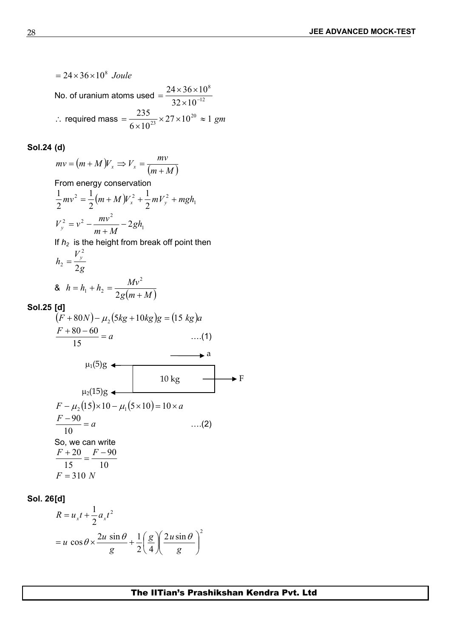$= 24 \times 36 \times 10^8$  *Joule* No. of uranium atoms used  $=\frac{2!}{32 \times 10^{-12}}$ 8  $24 \times 36 \times 10^8$  $\times 10^{-12}$  $=\frac{24\times36\times10^8}{24\times10^{12}}$  $\therefore$  required mass  $=\frac{255}{(1.2)^2} \times 27 \times 10^{20} \approx 1$  gm  $6 \times 10^{23}$  $\frac{235}{\times 10^{23}} \times 27 \times 10^{20} \approx 1$  gm  $=\frac{255}{(1.002)} \times 27 \times 10^{20} \approx 1$  gm

## **Sol.24 (d)**

 $(m+M)V_r \Rightarrow V_r = \frac{mv}{(m+1)(m+1)}$  $(m+M)$  $mv = (m + M)V_x \Rightarrow V_x = \frac{mv}{(m + M)}$ From energy conservation  $v^2 = \frac{1}{2}(m+M)V_x^2 + \frac{1}{2}mV_y^2 + mgh_1$  $2^{m}$  y  $\cdots$   $3^{n}$  $1 \t L^2$  $2^{(11+12-y)x}$   $2^{(11+y)x}$  $1_{(\dots,1)}$ 2  $2^{(11+11)}$   $2^{11}$   $2^{11}$   $2^{11}$   $2^{11}$  $\frac{1}{2}mv^2 = \frac{1}{2}(m+M)V_x^2 + \frac{1}{2}mV_y^2 + mgh_1$ 1  $v^2 = v^2 - \frac{mv^2}{r^2} - 2gh_1$  $V_y^2 = v^2 - \frac{mv^2}{m+M} - 2gh_1$  $= v^2 - \frac{mv}{\hbar^2} - 2gh_1$ If  $h<sub>2</sub>$  is the height from break off point then *g*  $V_v^2$  $h_2 = \frac{y}{2}$ *y*  $2g$ 2 &  $g(m+M)$  $h = h_1 + h_2 = \frac{Mv^2}{2(1+v_1^2 + 1)}$  $+M)$  $= h_1 + h_2 = \frac{mV}{2\pi}$  $2g(m+M)$ 2  $1 + n_2 = \frac{1}{2}$ **Sol.25 [d]**  $(F + 80N) - \mu_2(5kg + 10kg)g = (15 kg)a$  $\frac{F + 80 - 60}{4} = a$  …..(1)  $\dots(1)$  $15 \hspace{20pt} \ldots$  $80 - 60$  (4)  $\mu_1(5)$ g  $\mu_2(15)$ g  $\rightarrow$  a 10 kg  $\longrightarrow$  F  $F - \mu_2 (15) \times 10 - \mu_1 (5 \times 10) = 10 \times a$  $\frac{F-90}{40} = a$  ....(2)  $\dots(2)$  $10$  $90$  (2) So, we can write 10 15 90  $\frac{F+20}{F} = \frac{F-90}{F}$  $F = 310 N$ 

**Sol. 26[d]**

$$
R = u_x t + \frac{1}{2} a_x t^2
$$
  
=  $u \cos \theta \times \frac{2u \sin \theta}{g} + \frac{1}{2} \left( \frac{g}{4} \right) \left( \frac{2u \sin \theta}{g} \right)^2$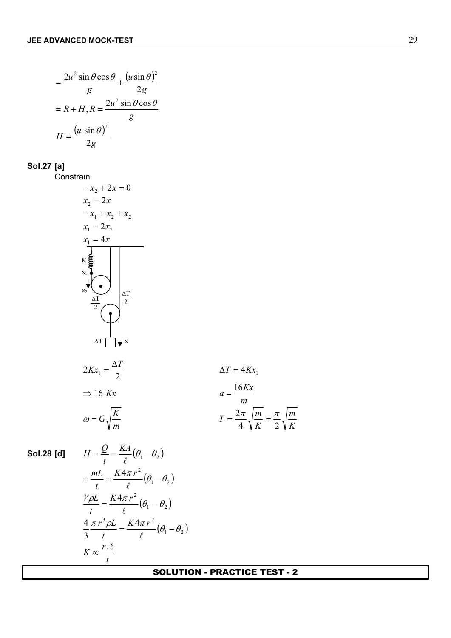$$
= \frac{2u^2 \sin \theta \cos \theta}{g} + \frac{(u \sin \theta)^2}{2g}
$$
  
= R + H, R =  $\frac{2u^2 \sin \theta \cos \theta}{g}$   

$$
H = \frac{(u \sin \theta)^2}{2g}
$$

**Sol.27 [a]**

**Constrain**  $-x_2 + 2x = 0$  $x_2 = 2x$  $-x_1 + x_2 + x_2$  $x_1 = 2x_2$  $x_1 = 4x$  $K$ ▔▎<del>↓</del> ×  $x_1$  $\overrightarrow{x_2}$  $\Delta T$ 2  $\Delta T$ 2  $\Delta T$ 2  $2Kx_1 = \frac{\Delta T}{2}$   $\Delta T = 4Kx_1$  $\Delta T = 4Kx_1$  $\Rightarrow$  16 *Kx*  $a = \frac{16Kx}{16}$ *m Kx m*  $4 \sqrt{K} 2 \sqrt{K}$  $\omega = G_1 \left| \frac{K}{r} \right|$   $T = \frac{2\pi}{r} \sqrt{\frac{m}{r}} = \frac{\pi}{2} \sqrt{\frac{m}{r}}$ *K m*  $K$  2  $\sqrt{\ }K$  $T = \frac{2\pi}{M} \sqrt{\frac{m}{m}} = \frac{\pi}{2} \sqrt{\frac{m}{m}}$  $4 \sqrt{K}$  2  $\sqrt{K}$  $=\frac{2\pi}{\pi} \sqrt{\frac{m}{\pi}} = \frac{\pi}{2} \sqrt{\frac{m}{\pi}}$ 

**Sol.28 [d]** 
$$
H = \frac{Q}{t} = \frac{KA}{\ell}(\theta_1 - \theta_2)
$$

$$
= \frac{mL}{t} = \frac{KA\pi r^2}{\ell}(\theta_1 - \theta_2)
$$

$$
\frac{V\rho L}{t} = \frac{K4\pi r^2}{\ell}(\theta_1 - \theta_2)
$$

$$
\frac{4}{3}\frac{\pi r^3 \rho L}{t} = \frac{K4\pi r^2}{\ell}(\theta_1 - \theta_2)
$$

$$
K \propto \frac{r.\ell}{t}
$$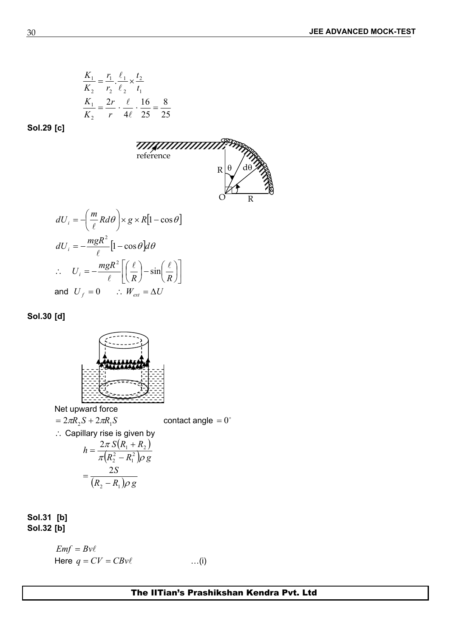$$
\frac{K_1}{K_2} = \frac{r_1}{r_2} \cdot \frac{\ell_1}{\ell_2} \times \frac{t_2}{t_1}
$$
\n
$$
\frac{K_1}{K_2} = \frac{2r}{r} \cdot \frac{\ell_1}{4\ell_2} \cdot \frac{16}{25} = \frac{8}{25}
$$

**Sol.29 [c]**



$$
dU_i = -\left(\frac{m}{\ell} R d\theta\right) \times g \times R[1 - \cos\theta]
$$
  
\n
$$
dU_i = -\frac{mgR^2}{\ell} [1 - \cos\theta] d\theta
$$
  
\n
$$
\therefore U_i = -\frac{mgR^2}{\ell} \left[\left(\frac{\ell}{R}\right) - \sin\left(\frac{\ell}{R}\right)\right]
$$
  
\nand  $U_f = 0$   $\therefore W_{ext} = \Delta U$ 

**Sol.30 [d]**



Net upward force

$$
= 2\pi R_2 S + 2\pi R_1 S
$$
 contact angle = 0°  
∴ Capillary rise is given by  

$$
h = \frac{2\pi S(R_1 + R_2)}{\pi (R_2^2 - R_1^2)\rho g}
$$

$$
= \frac{2S}{(R_2 - R_1)\rho g}
$$

**Sol.31 [b] Sol.32 [b]**

$$
Emf = Bv\ell
$$
  
Here  $q = CV = CBv\ell$  ...(i)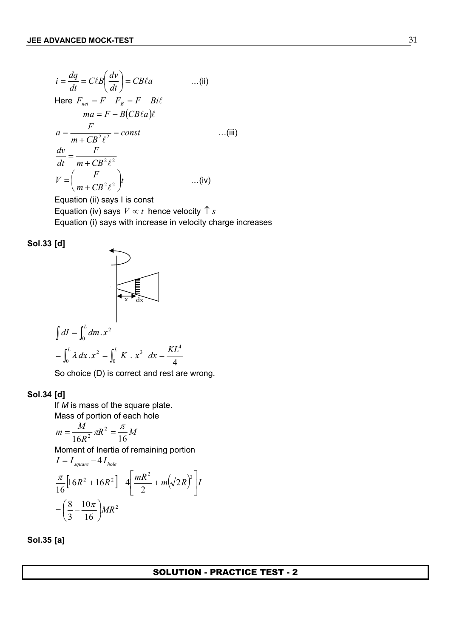$$
i = \frac{dq}{dt} = C\ell B \left(\frac{dv}{dt}\right) = CB\ell a \qquad ...(ii)
$$
  
\nHere  $F_{net} = F - F_B = F - Bi\ell$   
\n
$$
ma = F - B(CB\ell a)\ell
$$
  
\n
$$
a = \frac{F}{m + CB^2 \ell^2} = const \qquad ...(iii)
$$
  
\n
$$
\frac{dv}{dt} = \frac{F}{m + CB^2 \ell^2}
$$
  
\n
$$
V = \left(\frac{F}{m + CB^2 \ell^2}\right)t \qquad ...(iv)
$$

Equation (ii) says I is const Equation (iv) says  $V \propto t$  hence velocity  $\uparrow s$ Equation (i) says with increase in velocity charge increases



$$
\int dI = \int_0^L dm \cdot x^2
$$
  
= 
$$
\int_0^L \lambda dx \cdot x^2 = \int_0^L K \cdot x^3 dx = \frac{KL^4}{4}
$$

So choice (D) is correct and rest are wrong.

## **Sol.34 [d]**

If *M* is mass of the square plate. Mass of portion of each hole

$$
m = \frac{M}{16R^2} \pi R^2 = \frac{\pi}{16} M
$$

Moment of Inertia of remaining portion

$$
I = I_{square} - 4I_{hole}
$$
  

$$
\frac{\pi}{16} [16R^2 + 16R^2] - 4 \left[ \frac{mR^2}{2} + m(\sqrt{2}R)^2 \right] I
$$
  

$$
= \left( \frac{8}{3} - \frac{10\pi}{16} \right) M R^2
$$

**Sol.35 [a]**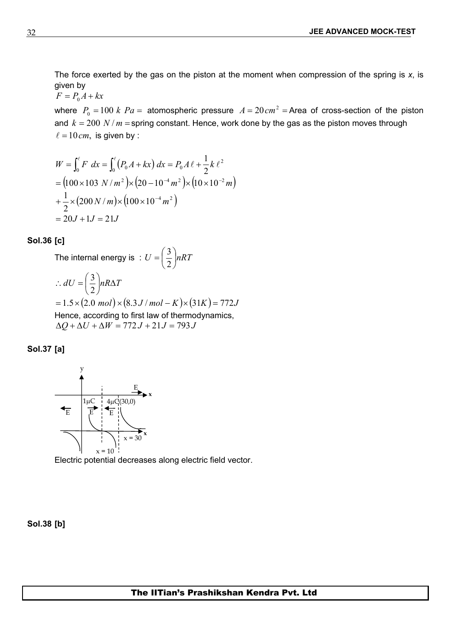The force exerted by the gas on the piston at the moment when compression of the spring is *x*, is given by

$$
F = P_0 A + kx
$$

where  $P_0 = 100$  *k Pa* = atomospheric pressure  $A = 20$   $cm^2$  = Area of cross-section of the piston and  $k = 200$  *N* /  $m =$  spring constant. Hence, work done by the gas as the piston moves through  $\ell = 10$  cm, is given by :

$$
W = \int_0^{\ell} F \, dx = \int_0^{\ell} (P_0 A + kx) \, dx = P_0 A \, \ell + \frac{1}{2} k \, \ell^2
$$
  
=  $(100 \times 103 \, N/m^2) \times (20 - 10^{-4} m^2) \times (10 \times 10^{-2} m)$   
+  $\frac{1}{2} \times (200 \, N/m) \times (100 \times 10^{-4} m^2)$   
=  $20J + 1J = 21J$ 

#### **Sol.36 [c]**

The internal energy is :  $U = \frac{1}{2} lnRT$  $\int$  $\left(\frac{3}{2}\right)$ nRT  $(2)$  $=\left(\frac{3}{2}\right)nRT$  $2)^{n+1}$  $3)$   $\overline{R}$ 

$$
\therefore dU = \left(\frac{3}{2}\right) nR\Delta T
$$
  
= 1.5×(2.0 mol)×(8.3 J/mol – K)×(31K) = 772J  
Hence, according to first law of thermodynamics,  

$$
\Delta Q + \Delta U + \Delta W = 772 J + 21 J = 793 J
$$





Electric potential decreases along electric field vector.

**Sol.38 [b]**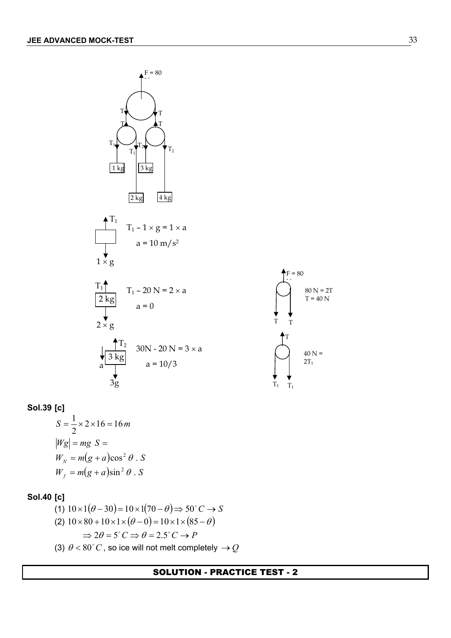



# **Sol.39 [c]**

$$
S = \frac{1}{2} \times 2 \times 16 = 16 m
$$
  
\n
$$
|Wg| = mg \ S =
$$
  
\n
$$
W_N = m(g + a)\cos^2 \theta \ . \ S
$$
  
\n
$$
W_f = m(g + a)\sin^2 \theta \ . \ S
$$

# **Sol.40 [c]**

(1) 
$$
10 \times 1(\theta - 30) = 10 \times 1(70 - \theta) \Rightarrow 50^{\circ}C \rightarrow S
$$
  
\n(2)  $10 \times 80 + 10 \times 1 \times (\theta - 0) = 10 \times 1 \times (85 - \theta)$   
\n $\Rightarrow 2\theta = 5^{\circ}C \Rightarrow \theta = 2.5^{\circ}C \rightarrow P$   
\n(3)  $\theta < 80^{\circ}C$ , so ice will not melt completely  $\rightarrow Q$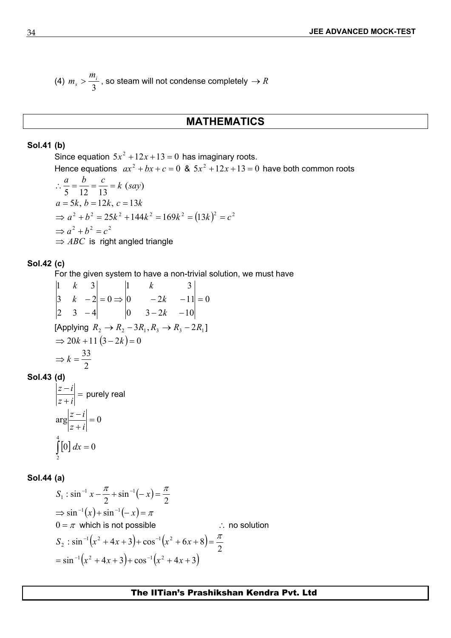(4) 
$$
m_s > \frac{m_i}{3}
$$
, so steam will not condense completely  $\rightarrow R$ 

## **MATHEMATICS**

## **Sol.41 (b)**

Since equation  $5x^2 + 12x + 13 = 0$  has imaginary roots. Hence equations  $ax^2 + bx + c = 0$  &  $5x^2 + 12x + 13 = 0$  have both common roots

$$
\therefore \frac{a}{5} = \frac{b}{12} = \frac{c}{13} = k \text{ (say)}
$$
  
\n
$$
a = 5k, b = 12k, c = 13k
$$
  
\n
$$
\Rightarrow a^2 + b^2 = 25k^2 + 144k^2 = 169k^2 = (13k)^2 = c^2
$$
  
\n
$$
\Rightarrow a^2 + b^2 = c^2
$$
  
\n
$$
\Rightarrow ABC \text{ is right angled triangle}
$$

## **Sol.42 (c)**

For the given system to have a non-trivial solution, we must have

$$
\begin{vmatrix} 1 & k & 3 \ 3 & k & -2 \ 2 & 3 & -4 \ \end{vmatrix} = 0 \Rightarrow \begin{vmatrix} 1 & k & 3 \ 0 & -2k & -11 \ 0 & 3-2k & -10 \ \end{vmatrix} = 0
$$
  
[Applying  $R_2 \rightarrow R_2 - 3R_1, R_3 \rightarrow R_3 - 2R_1$ ]  
 $\Rightarrow 20k + 11(3 - 2k) = 0$   
 $\Rightarrow k = \frac{33}{2}$ 

# **Sol.43 (d)**

$$
\left|\frac{z-i}{z+i}\right| = \text{purely real}
$$
  

$$
\arg\left|\frac{z-i}{z+i}\right| = 0
$$
  

$$
\int_{2}^{4} [0] dx = 0
$$

## **Sol.44 (a)**

$$
S_1 : \sin^{-1} x - \frac{\pi}{2} + \sin^{-1}(-x) = \frac{\pi}{2}
$$
  
\n
$$
\Rightarrow \sin^{-1}(x) + \sin^{-1}(-x) = \pi
$$
  
\n
$$
0 = \pi \text{ which is not possible} \qquad \therefore \text{ no solution}
$$
  
\n
$$
S_2 : \sin^{-1}(x^2 + 4x + 3) + \cos^{-1}(x^2 + 6x + 8) = \frac{\pi}{2}
$$
  
\n
$$
= \sin^{-1}(x^2 + 4x + 3) + \cos^{-1}(x^2 + 4x + 3)
$$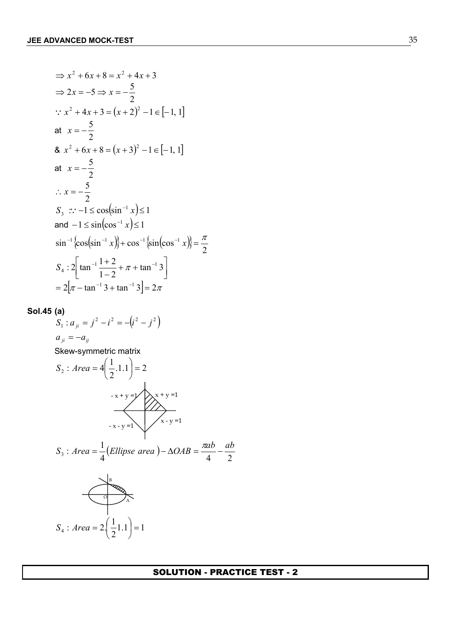$$
\Rightarrow x^2 + 6x + 8 = x^2 + 4x + 3
$$
  
\n
$$
\Rightarrow 2x = -5 \Rightarrow x = -\frac{5}{2}
$$
  
\n
$$
\therefore x^2 + 4x + 3 = (x + 2)^2 - 1 \in [-1, 1]
$$
  
\nat  $x = -\frac{5}{2}$   
\n8.  $x^2 + 6x + 8 = (x + 3)^2 - 1 \in [-1, 1]$   
\nat  $x = -\frac{5}{2}$   
\n
$$
\therefore x = -\frac{5}{2}
$$
  
\n
$$
S_3 \therefore -1 \le \cos(\sin^{-1} x) \le 1
$$
  
\nand  $-1 \le \sin(\cos^{-1} x) \le 1$   
\n
$$
\sin^{-1}{\cos(\sin^{-1} x)} + \cos^{-1}{\sin(\cos^{-1} x)} = \frac{\pi}{2}
$$
  
\n
$$
S_4 : 2\left[\tan^{-1}\frac{1+2}{1-2} + \pi + \tan^{-1}3\right]
$$
  
\n
$$
= 2\left[\pi - \tan^{-1}3 + \tan^{-1}3\right] = 2\pi
$$

**Sol.45 (a)** 

$$
S_1: a_{ji} = j^2 - i^2 = -(i^2 - j^2)
$$
  
\n
$$
a_{ji} = -a_{ij}
$$
  
\nSkew-symmetric matrix  
\n
$$
S_2: Area = 4\left(\frac{1}{2}.1.1\right) = 2
$$
  
\n
$$
-x + y = 1
$$
  
\n
$$
S_3: Area = \frac{1}{4}\left(Ellipse \text{ area } 0 - \Delta OAB = \frac{\pi ab}{4} - \frac{ab}{2}\right)
$$
  
\n
$$
S_4: Area = 2\left(\frac{1}{2}1.1\right) = 1
$$

 $\int$ 

 $(2)$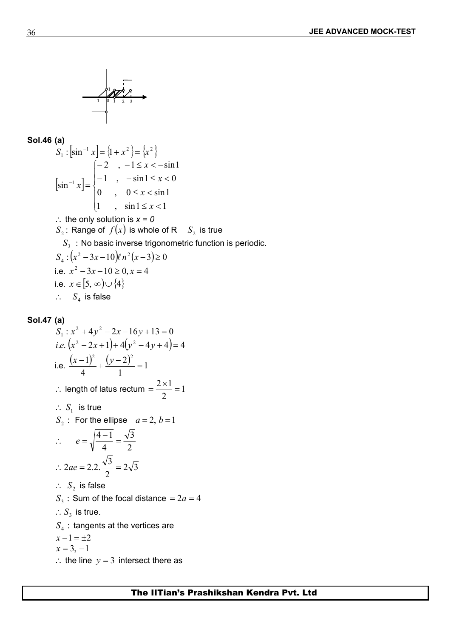

#### **Sol.46 (a)**

$$
S_1: \left[\sin^{-1} x\right] = \left\{1 + x^2\right\} = \left\{x^2\right\}
$$
  
\n
$$
\left[\sin^{-1} x\right] = \begin{cases} -2, & -1 \le x < -\sin 1 \\ -1, & -\sin 1 \le x < 0 \\ 0, & 0 \le x < \sin 1 \end{cases}
$$
  
\n
$$
\therefore \text{ the only solution is } x = 0
$$
  
\n
$$
S_2: \text{ Range of } f(x) \text{ is whole of R } S_2 \text{ is true}
$$
  
\n
$$
S_3: \text{No basic inverse trigonometric function is periodic.}
$$
  
\n
$$
S_4: (x^2 - 3x - 10)\ell n^2(x - 3) \ge 0
$$
  
\ni.e.  $x^2 - 3x - 10 \ge 0, x = 4$   
\ni.e.  $x \in [5, \infty) \cup \{4\}$   
\n
$$
\therefore S_4 \text{ is false}
$$

## **Sol.47 (a)**

S<sub>1</sub>: 
$$
x^2 + 4y^2 - 2x - 16y + 13 = 0
$$
  
\ni.e.  $(x^2 - 2x + 1) + 4(y^2 - 4y + 4) = 4$   
\ni.e.  $\frac{(x-1)^2}{4} + \frac{(y-2)^2}{1} = 1$   
\n∴ length of latus rectum =  $\frac{2 \times 1}{2} = 1$   
\n∴ S<sub>1</sub> is true  
\nS<sub>2</sub>: For the ellipse  $a = 2, b = 1$   
\n∴  $e = \sqrt{\frac{4-1}{4}} = \frac{\sqrt{3}}{2}$   
\n∴  $2ae = 2.2 \cdot \frac{\sqrt{3}}{2} = 2\sqrt{3}$   
\n∴ S<sub>2</sub> is false  
\nS<sub>3</sub>: Sum of the focal distance =  $2a = 4$   
\n∴ S<sub>3</sub> is true.  
\nS<sub>4</sub>: tangents at the vertices are  
\n $x - 1 = \pm 2$   
\n $x = 3, -1$   
\n∴ the line  $y = 3$  intersect there as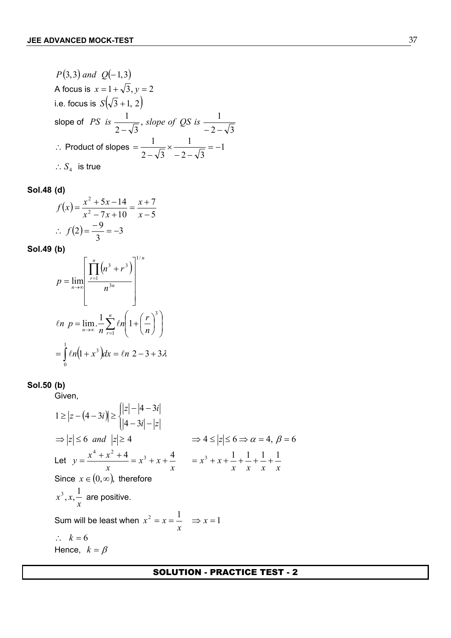P(3,3) and Q(-1,3)  
\nA focus is 
$$
x = 1 + \sqrt{3}
$$
,  $y = 2$   
\ni.e. focus is  $S(\sqrt{3} + 1, 2)$   
\nslope of *PS* is  $\frac{1}{2 - \sqrt{3}}$ , *slope of QS* is  $\frac{1}{-2 - \sqrt{3}}$   
\n∴ Product of slopes =  $\frac{1}{2 - \sqrt{3}} \times \frac{1}{-2 - \sqrt{3}} = -1$   
\n∴  $S_4$  is true

**Sol.48 (d)** 

$$
f(x) = \frac{x^2 + 5x - 14}{x^2 - 7x + 10} = \frac{x + 7}{x - 5}
$$
  
\n
$$
\therefore f(2) = \frac{-9}{3} = -3
$$

**Sol.49 (b)** 

$$
p = \lim_{n \to \infty} \left[ \frac{\prod_{r=1}^{n} (n^3 + r^3)}{n^{3n}} \right]^{1/n}
$$
  
*en*  $p = \lim_{n \to \infty} \frac{1}{n} \sum_{r=1}^{n} ln \left( 1 + \left( \frac{r}{n} \right)^3 \right)$   
 $= \int_{0}^{1} ln \left( 1 + x^3 \right) dx = ln \left( 2 - 3 + 3\lambda \right)$ 

**Sol.50 (b)** 

Given,

$$
1 \ge |z - (4 - 3i)| \ge \begin{cases} |z| - |4 - 3i| \\ |4 - 3i| - |z| \end{cases}
$$
  
\n
$$
\Rightarrow |z| \le 6 \text{ and } |z| \ge 4 \qquad \Rightarrow 4 \le |z| \le 6 \Rightarrow \alpha = 4, \beta = 6
$$
  
\nLet  $y = \frac{x^4 + x^2 + 4}{x} = x^3 + x + \frac{4}{x} = x^3 + x + \frac{1}{x} + \frac{1}{x} + \frac{1}{x} + \frac{1}{x} + \frac{1}{x}$   
\nSince  $x \in (0, \infty)$ , therefore  
\n $x^3, x, \frac{1}{x}$  are positive.  
\nSum will be least when  $x^2 = x = \frac{1}{x} \Rightarrow x = 1$   
\n $\therefore k = 6$   
\nHence,  $k = \beta$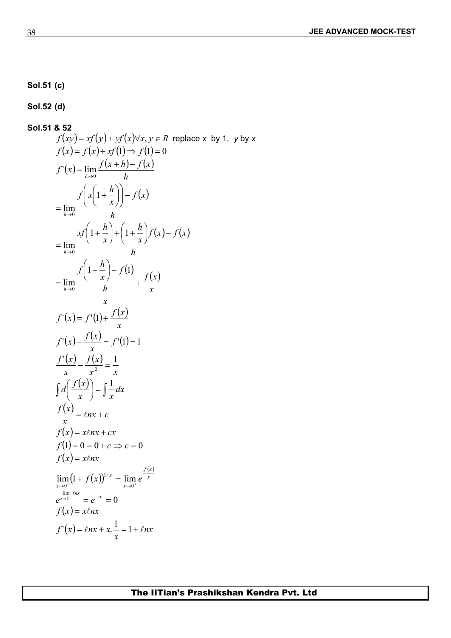**Sol.51 (c)**

**Sol.52 (d)** 

**Sol.51 8.52**  
\n
$$
f(xy) = xf(y) + xf(x) \forall x, y \in R \text{ replace } x \text{ by 1, } y \text{ by } x
$$
\n
$$
f(x) = f(x) + xf(1) \Rightarrow f(1) = 0
$$
\n
$$
f'(x) = \lim_{h \to 0} \frac{f(x+h) - f(x)}{h}
$$
\n
$$
= \lim_{h \to 0} \frac{xf(1 + \frac{h}{x}) - f(x)}{h}
$$
\n
$$
= \lim_{h \to 0} \frac{xf(1 + \frac{h}{x}) + (1 + \frac{h}{x})f(x) - f(x)}{h}
$$
\n
$$
= \lim_{h \to 0} \frac{f(1 + \frac{h}{x}) - f(1)}{h} + \frac{f(x)}{x}
$$
\n
$$
f'(x) = f'(1) + \frac{f(x)}{x}
$$
\n
$$
f'(x) = f'(1) = 1
$$
\n
$$
\frac{f'(x)}{x} - \frac{f(x)}{x^2} = \frac{1}{x}
$$
\n
$$
\int af\left(\frac{f(x)}{x}\right) = \int \frac{1}{x} dx
$$
\n
$$
f(x) = \tan x + cx
$$
\n
$$
f(x) = x \tan x + cx
$$
\n
$$
f(x) = x \tan x - cx
$$
\n
$$
f(x) = x \tan x - cx
$$
\n
$$
f(x) = x \tan x - cx
$$
\n
$$
\lim_{h \to 0} (1 + f(x))^{1/x} = \lim_{x \to 0} e^{\frac{f(x)}{x}}
$$
\n
$$
e^{\lim_{x \to 0} \tan x} = e^{-x} = 0
$$
\n
$$
f(x) = x \tan x
$$
\n
$$
f'(x) = f(x) + x \ln x
$$
\n
$$
f'(x) = f(x) + x \ln x
$$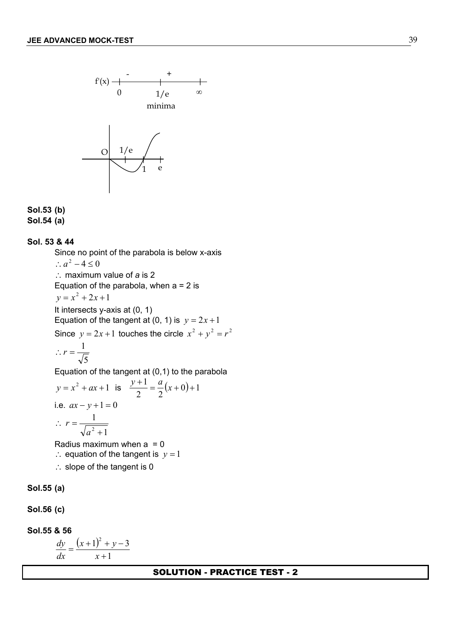

#### **Sol.53 (b) Sol.54 (a)**

#### **Sol. 53 & 44**

Since no point of the parabola is below x-axis  $\therefore$   $a^2 - 4 \le 0$  maximum value of *a* is 2 Equation of the parabola, when  $a = 2$  is  $y = x^2 + 2x + 1$ It intersects y-axis at (0, 1) Equation of the tangent at (0, 1) is  $y = 2x + 1$ Since  $y = 2x + 1$  touches the circle  $x^2 + y^2 = r^2$ 5 1  $\therefore$   $r = \frac{1}{\sqrt{5}}$ Equation of the tangent at (0,1) to the parabola  $y = x^2 + ax + 1$  is  $\frac{y+1}{2} = \frac{a}{2}(x+0) + 1$ 

i.e. 
$$
ax - y + 1 = 0
$$
  
\n $\therefore r = \frac{1}{\sqrt{a^2 + 1}}$ 

Radius maximum when  $a = 0$  $\therefore$  equation of the tangent is  $y = 1$ 

 $\therefore$  slope of the tangent is 0

**Sol.55 (a)**

**Sol.56 (c)** 

**Sol.55 & 56** 

$$
\frac{dy}{dx} = \frac{(x+1)^2 + y - 3}{x+1}
$$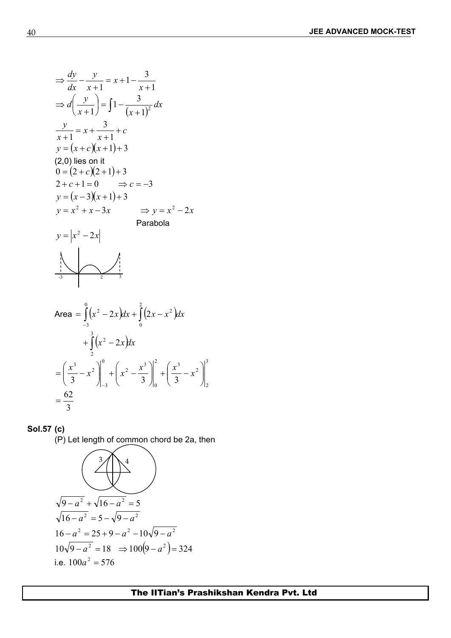$$
\Rightarrow \frac{dy}{dx} - \frac{y}{x+1} = x+1 - \frac{3}{x+1}
$$
  
\n
$$
\Rightarrow d\left(\frac{y}{x+1}\right) = \int 1 - \frac{3}{(x+1)^2} dx
$$
  
\n
$$
\frac{y}{x+1} = x + \frac{3}{x+1} + c
$$
  
\n
$$
y = (x + c)(x + 1) + 3
$$
  
\n(2,0) lies on it  
\n
$$
0 = (2 + c)(2 + 1) + 3
$$
  
\n
$$
2 + c + 1 = 0 \Rightarrow c = -3
$$
  
\n
$$
y = (x - 3)(x + 1) + 3
$$
  
\n
$$
y = x^2 + x - 3x \Rightarrow y = x^2 - 2x
$$
  
\nParabola  
\n
$$
y = |x^2 - 2x|
$$
  
\nParabola  
\nArea =  $\int_0^0 (x^2 - 2x) dx + \int_0^2 (2x - x^2) dx$ 

$$
+\int_{2}^{3} (x^{2} - 2x) dx
$$
  
=  $\left(\frac{x^{3}}{3} - x^{2}\right)_{-3}^{0} + \left(x^{2} - \frac{x^{3}}{3}\right)_{0}^{2} + \left(\frac{x^{3}}{3} - x^{2}\right)_{2}^{3}$   
=  $\frac{62}{3}$ 

## **Sol.57 (c)**

(P) Let length of common chord be 2a, then

$$
\sqrt{9-a^2} + \sqrt{16-a^2} = 5
$$
  
\n
$$
\sqrt{16-a^2} = 5 - \sqrt{9-a^2}
$$
  
\n
$$
16-a^2 = 25 + 9 - a^2 - 10\sqrt{9-a^2}
$$
  
\n
$$
10\sqrt{9-a^2} = 18 \implies 100(9-a^2) = 324
$$
  
\ni.e.  $100a^2 = 576$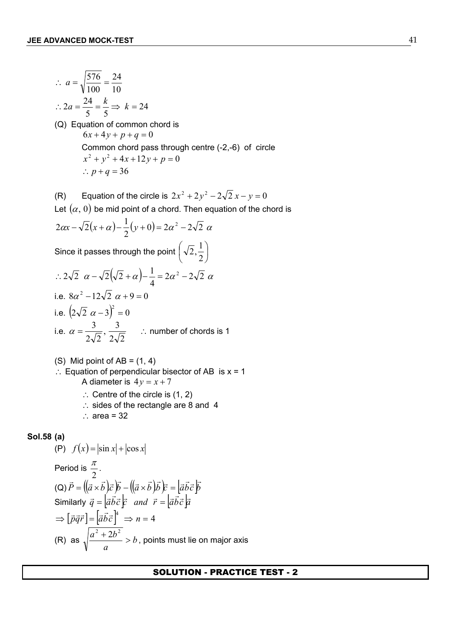$$
\therefore a = \sqrt{\frac{576}{100}} = \frac{24}{10}
$$
  
\n
$$
\therefore 2a = \frac{24}{5} = \frac{k}{5} \Rightarrow k = 24
$$
  
\n(Q) Equation of common chord is  
\n
$$
6x + 4y + p + q = 0
$$
  
\nCommon chord pass through centre (-2,-6) of circle  
\n
$$
x^2 + y^2 + 4x + 12y + p = 0
$$
  
\n
$$
\therefore p + q = 36
$$

(R) Equation of the circle is 
$$
2x^2 + 2y^2 - 2\sqrt{2}x - y = 0
$$
  
\nLet  $(\alpha, 0)$  be mid point of a chord. Then equation of the chord is  
\n $2\alpha x - \sqrt{2}(x + \alpha) - \frac{1}{2}(y + 0) = 2\alpha^2 - 2\sqrt{2} \alpha$   
\nSince it passes through the point  $(\sqrt{2}, \frac{1}{2})$   
\n $\therefore 2\sqrt{2} \alpha - \sqrt{2}(\sqrt{2} + \alpha) - \frac{1}{4} = 2\alpha^2 - 2\sqrt{2} \alpha$   
\ni.e.  $8\alpha^2 - 12\sqrt{2} \alpha + 9 = 0$   
\ni.e.  $(2\sqrt{2} \alpha - 3)^2 = 0$   
\ni.e.  $\alpha = \frac{3}{2\sqrt{2}}, \frac{3}{2\sqrt{2}}$   $\therefore$  number of chords is 1

(S) Mid point of AB = (1, 4)  
\n∴ Equation of perpendicular bisector of AB is x = 1  
\nA diameter is 
$$
4y = x + 7
$$

- $\therefore$  Centre of the circle is (1, 2)
- $\therefore$  sides of the rectangle are 8 and 4
- $\therefore$  area = 32

#### **Sol.58 (a)**

(P) 
$$
f(x) = |\sin x| + |\cos x|
$$
  
\nPeriod is  $\frac{\pi}{2}$ .  
\n(Q)  $\vec{P} = ((\vec{a} \times \vec{b})\vec{c})\vec{b} - ((\vec{a} \times \vec{b})\vec{b})\vec{c} = [\vec{a}\vec{b}\vec{c}]\vec{b}$   
\nSimilarly  $\vec{q} = [\vec{a}\vec{b}\vec{c}]\vec{c}$  and  $\vec{r} = [\vec{a}\vec{b}\vec{c}]\vec{a}$   
\n $\Rightarrow [\vec{p}\vec{q}\vec{r}] = [\vec{a}\vec{b}\vec{c}]^4 \Rightarrow n = 4$   
\n(R) as  $\sqrt{\frac{a^2 + 2b^2}{a}} > b$ , points must lie on major axis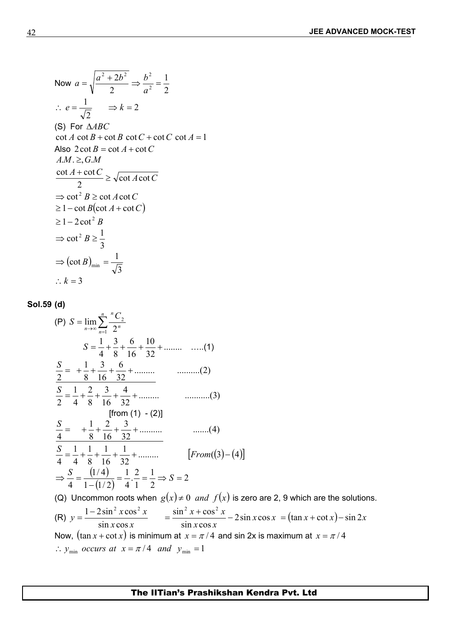Now 
$$
a = \sqrt{\frac{a^2 + 2b^2}{2}} \Rightarrow \frac{b^2}{a^2} = \frac{1}{2}
$$
  
\n $\therefore e = \frac{1}{\sqrt{2}} \Rightarrow k = 2$   
\n(S) For  $\triangle ABC$   
\n $\cot A \cot B + \cot B \cot C + \cot C \cot A = 1$   
\nAlso  $2 \cot B = \cot A + \cot C$   
\n $AM \geq_{1} CM$   
\n $\frac{\cot A + \cot C}{2} \geq \sqrt{\cot A \cot C}$   
\n $\Rightarrow \cot^{2} B \geq \cot A \cot C$   
\n $\geq 1 - \cot B(\cot A + \cot C)$   
\n $\geq 1 - 2 \cot^{2} B$   
\n $\Rightarrow \cot^{2} B \geq \frac{1}{3}$   
\n $\Rightarrow (\cot B)_{\text{min}} = \frac{1}{\sqrt{3}}$   
\n $\therefore k = 3$ 

## **Sol.59 (d)**

$$
(P) S = \lim_{n \to \infty} \sum_{n=1}^{n} \frac{{}^{n}C_{2}}{2^{n}}
$$
\n
$$
S = \frac{1}{4} + \frac{3}{8} + \frac{6}{16} + \frac{10}{32} + \dots \dots \dots (1)
$$
\n
$$
\frac{S}{2} = + \frac{1}{8} + \frac{3}{16} + \frac{6}{32} + \dots \dots \dots (2)
$$
\n
$$
\frac{S}{2} = \frac{1}{4} + \frac{2}{8} + \frac{3}{16} + \frac{4}{32} + \dots \dots \dots (3)
$$
\n[from (1) - (2)]\n
$$
\frac{S}{4} = + \frac{1}{8} + \frac{2}{16} + \frac{3}{32} + \dots \dots \dots (4)
$$
\n
$$
\frac{S}{4} = \frac{1}{4} + \frac{1}{8} + \frac{1}{16} + \frac{1}{32} + \dots \dots \dots (4)
$$
\n[From (3) - (4)]\n
$$
\Rightarrow \frac{S}{4} = \frac{(1/4)}{1 - (1/2)} = \frac{1}{4} \cdot \frac{2}{1} = \frac{1}{2} \Rightarrow S = 2
$$

(Q) Uncommon roots when  $g(x) \neq 0$  *and*  $f(x)$  is zero are 2, 9 which are the solutions. (R)  $x \cos x$   $\sin x \cos x$  $y = \frac{1 - 2\sin^2 x \cos^2 x}{1 - \sin^2 x + \cos^2 x}$ <br>=  $\frac{\sin^2 x + \cos^2 x}{1 - \cos^2 x} - 2\sin x \cos x$  $\sin x \cos x$   $\sin x \cos x$  $=\frac{1-2\sin^2 x \cos^2 x}{1}$   $=\frac{\sin^2 x + \cos^2 x}{1} - 2\sin x \cos x = (\tan x + \cot x) - \sin 2x$  $x \cos x$   $\left(\frac{\tan x}{\tan x} + \sec x\right)$  $\frac{x + \cos^2 x}{x}$  – 2sin x cos x = (tan x + cot x) – sin 2x  $\sin x \cos x$  $\sin^2 x + \cos^2 x$  (  $t = \frac{\sin^2 x + \cos^2 x}{\sin^2 x} - 2\sin x \cos x = (\tan x + \cot x) - \sin 2x$ Now,  $(\tan x + \cot x)$  is minimum at  $x = \pi / 4$  and sin 2x is maximum at  $x = \pi / 4$  $\therefore$  *y*<sub>min</sub> *occurs at*  $x = \pi/4$  *and*  $y_{min} = 1$